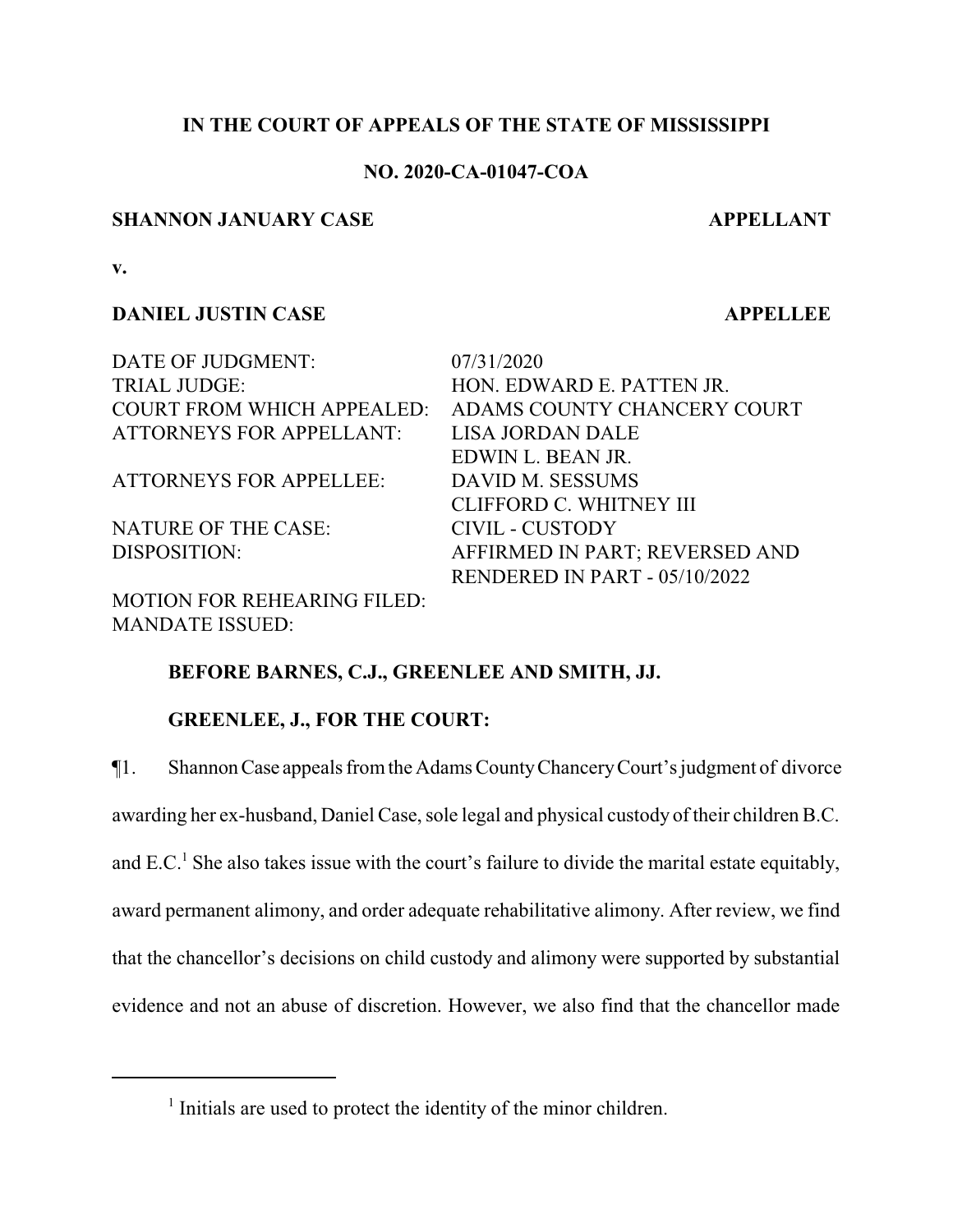# **IN THE COURT OF APPEALS OF THE STATE OF MISSISSIPPI**

# **NO. 2020-CA-01047-COA**

# **SHANNON JANUARY CASE APPELLANT**

**v.**

# **DANIEL JUSTIN CASE APPELLEE**

DATE OF JUDGMENT: 07/31/2020 TRIAL JUDGE: HON. EDWARD E. PATTEN JR. COURT FROM WHICH APPEALED: ADAMS COUNTY CHANCERY COURT ATTORNEYS FOR APPELLANT: LISA JORDAN DALE EDWIN L. BEAN JR. ATTORNEYS FOR APPELLEE: DAVID M. SESSUMS CLIFFORD C. WHITNEY III NATURE OF THE CASE: CIVIL - CUSTODY DISPOSITION: AFFIRMED IN PART; REVERSED AND

MOTION FOR REHEARING FILED: MANDATE ISSUED:

RENDERED IN PART - 05/10/2022

# **BEFORE BARNES, C.J., GREENLEE AND SMITH, JJ.**

# **GREENLEE, J., FOR THE COURT:**

¶1. ShannonCase appeals fromthe Adams CountyChanceryCourt's judgment of divorce awarding her ex-husband, Daniel Case, sole legal and physical custody of their children B.C. and E.C.<sup>1</sup> She also takes issue with the court's failure to divide the marital estate equitably,

award permanent alimony, and order adequate rehabilitative alimony. After review, we find

that the chancellor's decisions on child custody and alimony were supported by substantial

evidence and not an abuse of discretion. However, we also find that the chancellor made

<sup>&</sup>lt;sup>1</sup> Initials are used to protect the identity of the minor children.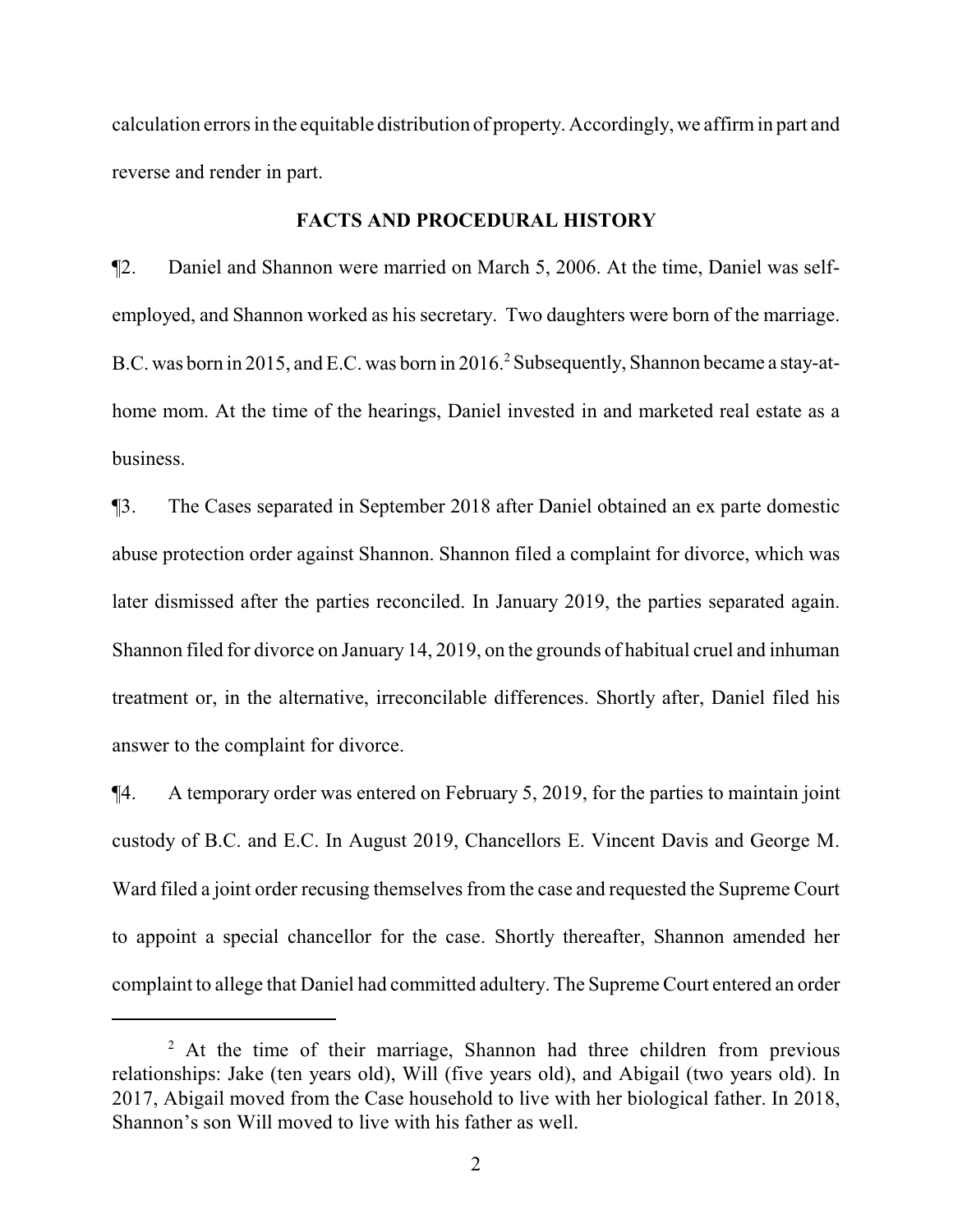calculation errors in the equitable distribution of property. Accordingly, we affirmin part and reverse and render in part.

#### **FACTS AND PROCEDURAL HISTORY**

¶2. Daniel and Shannon were married on March 5, 2006. At the time, Daniel was selfemployed, and Shannon worked as his secretary. Two daughters were born of the marriage. B.C. was born in 2015, and E.C. was born in 2016.<sup>2</sup> Subsequently, Shannon became a stay-athome mom. At the time of the hearings, Daniel invested in and marketed real estate as a business.

¶3. The Cases separated in September 2018 after Daniel obtained an ex parte domestic abuse protection order against Shannon. Shannon filed a complaint for divorce, which was later dismissed after the parties reconciled. In January 2019, the parties separated again. Shannon filed for divorce on January 14, 2019, on the grounds of habitual cruel and inhuman treatment or, in the alternative, irreconcilable differences. Shortly after, Daniel filed his answer to the complaint for divorce.

¶4. A temporary order was entered on February 5, 2019, for the parties to maintain joint custody of B.C. and E.C. In August 2019, Chancellors E. Vincent Davis and George M. Ward filed a joint order recusing themselves from the case and requested the Supreme Court to appoint a special chancellor for the case. Shortly thereafter, Shannon amended her complaint to allege that Daniel had committed adultery. The Supreme Court entered an order

<sup>&</sup>lt;sup>2</sup> At the time of their marriage, Shannon had three children from previous relationships: Jake (ten years old), Will (five years old), and Abigail (two years old). In 2017, Abigail moved from the Case household to live with her biological father. In 2018, Shannon's son Will moved to live with his father as well.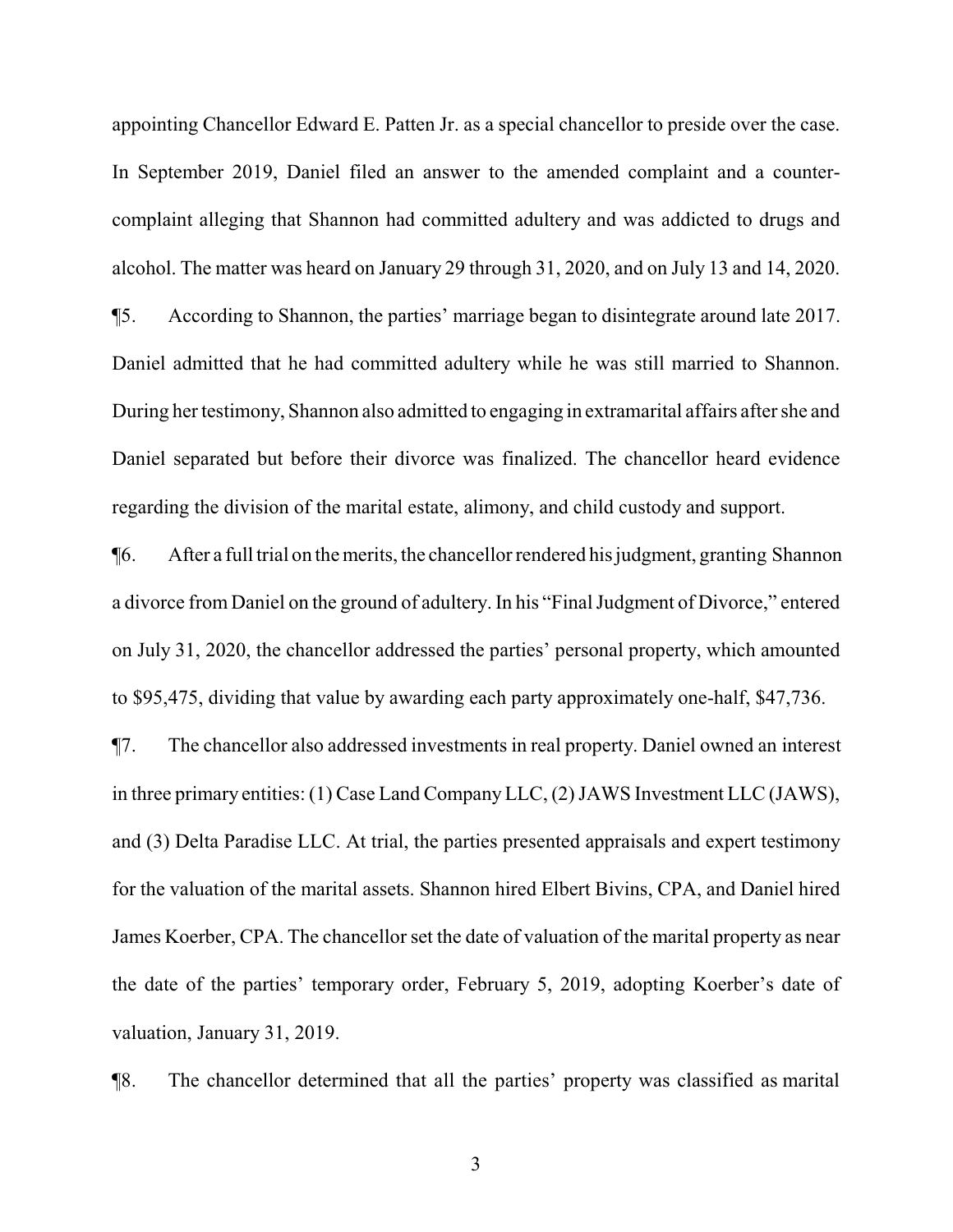appointing Chancellor Edward E. Patten Jr. as a special chancellor to preside over the case. In September 2019, Daniel filed an answer to the amended complaint and a countercomplaint alleging that Shannon had committed adultery and was addicted to drugs and alcohol. The matter was heard on January 29 through 31, 2020, and on July 13 and 14, 2020. ¶5. According to Shannon, the parties' marriage began to disintegrate around late 2017.

Daniel admitted that he had committed adultery while he was still married to Shannon. During her testimony, Shannon also admitted to engaging in extramarital affairs after she and Daniel separated but before their divorce was finalized. The chancellor heard evidence regarding the division of the marital estate, alimony, and child custody and support.

¶6. After a full trial on the merits, the chancellor rendered his judgment, granting Shannon a divorce from Daniel on the ground of adultery. In his "Final Judgment of Divorce," entered on July 31, 2020, the chancellor addressed the parties' personal property, which amounted to \$95,475, dividing that value by awarding each party approximately one-half, \$47,736.

¶7. The chancellor also addressed investments in real property. Daniel owned an interest in three primary entities: (1) Case Land CompanyLLC, (2) JAWS Investment LLC (JAWS), and (3) Delta Paradise LLC. At trial, the parties presented appraisals and expert testimony for the valuation of the marital assets. Shannon hired Elbert Bivins, CPA, and Daniel hired James Koerber, CPA. The chancellor set the date of valuation of the marital property as near the date of the parties' temporary order, February 5, 2019, adopting Koerber's date of valuation, January 31, 2019.

¶8. The chancellor determined that all the parties' property was classified as marital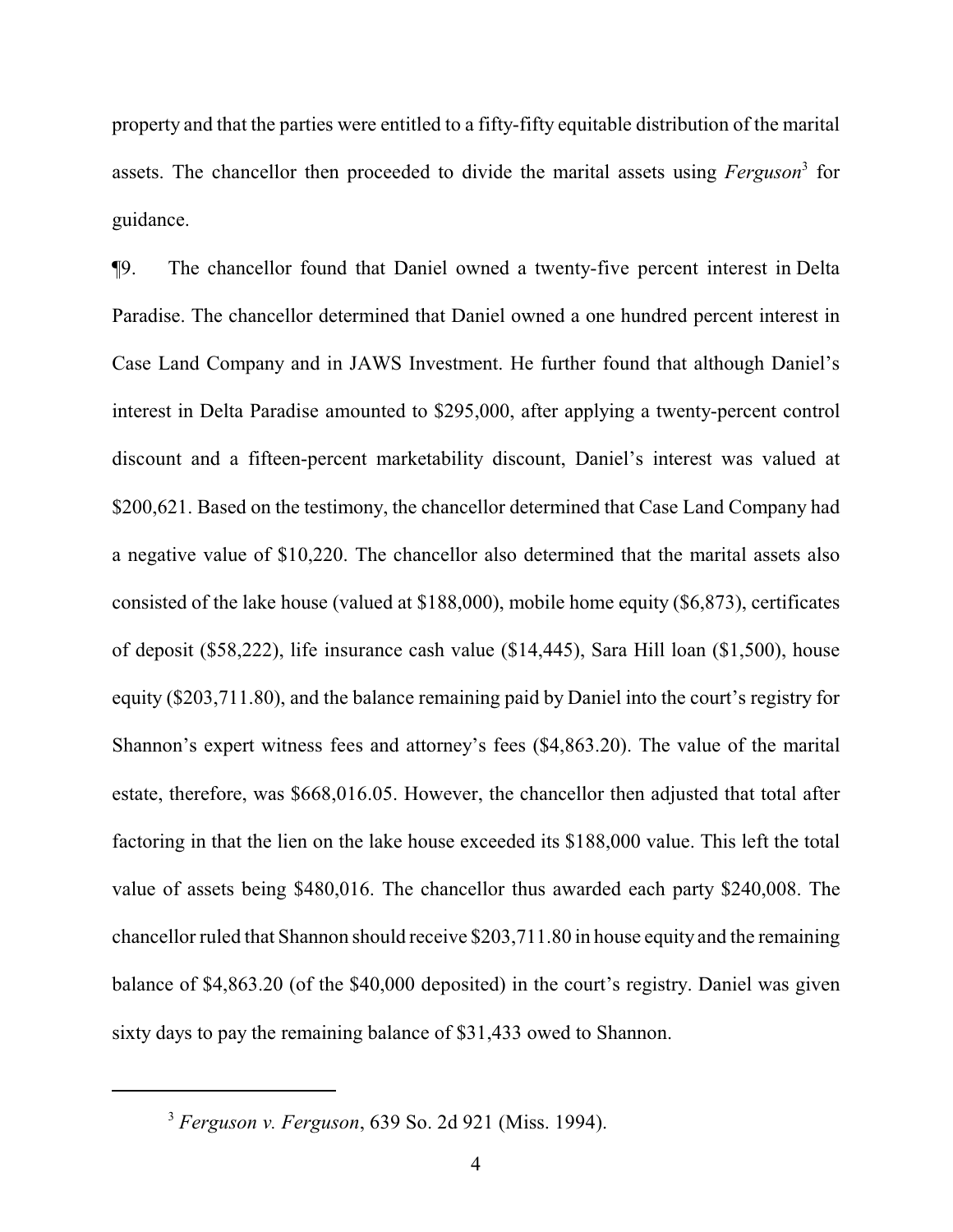property and that the parties were entitled to a fifty-fifty equitable distribution of the marital assets. The chancellor then proceeded to divide the marital assets using *Ferguson*<sup>3</sup> for guidance.

¶9. The chancellor found that Daniel owned a twenty-five percent interest in Delta Paradise. The chancellor determined that Daniel owned a one hundred percent interest in Case Land Company and in JAWS Investment. He further found that although Daniel's interest in Delta Paradise amounted to \$295,000, after applying a twenty-percent control discount and a fifteen-percent marketability discount, Daniel's interest was valued at \$200,621. Based on the testimony, the chancellor determined that Case Land Company had a negative value of \$10,220. The chancellor also determined that the marital assets also consisted of the lake house (valued at \$188,000), mobile home equity (\$6,873), certificates of deposit (\$58,222), life insurance cash value (\$14,445), Sara Hill loan (\$1,500), house equity (\$203,711.80), and the balance remaining paid by Daniel into the court's registry for Shannon's expert witness fees and attorney's fees (\$4,863.20). The value of the marital estate, therefore, was \$668,016.05. However, the chancellor then adjusted that total after factoring in that the lien on the lake house exceeded its \$188,000 value. This left the total value of assets being \$480,016. The chancellor thus awarded each party \$240,008. The chancellor ruled that Shannon should receive \$203,711.80 in house equity and the remaining balance of \$4,863.20 (of the \$40,000 deposited) in the court's registry. Daniel was given sixty days to pay the remaining balance of \$31,433 owed to Shannon.

<sup>3</sup> *Ferguson v. Ferguson*, 639 So. 2d 921 (Miss. 1994).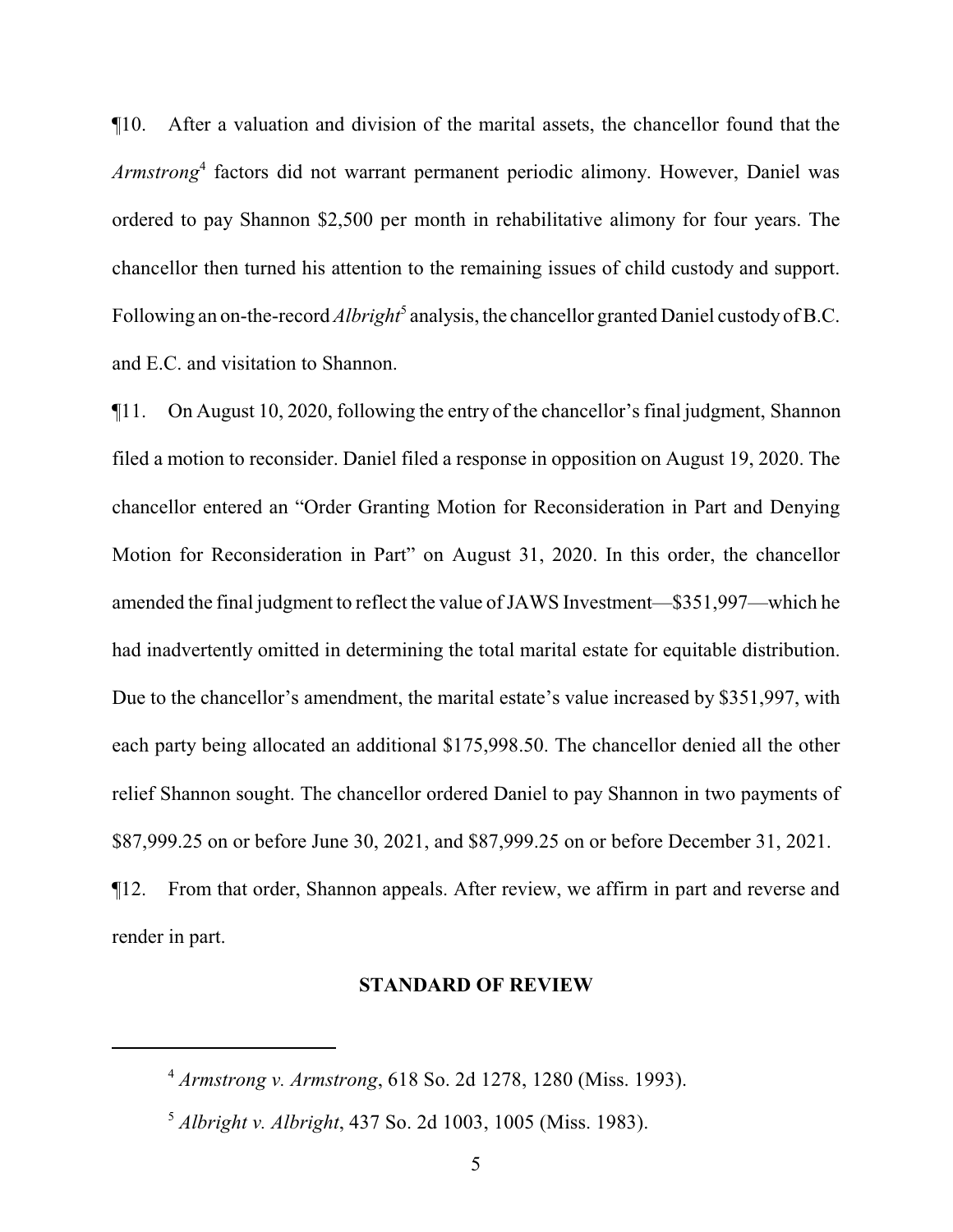¶10. After a valuation and division of the marital assets, the chancellor found that the *Armstrong* 4 factors did not warrant permanent periodic alimony. However, Daniel was ordered to pay Shannon \$2,500 per month in rehabilitative alimony for four years. The chancellor then turned his attention to the remaining issues of child custody and support. Following an on-the-record *Albright*<sup>5</sup> analysis, the chancellor granted Daniel custody of B.C. and E.C. and visitation to Shannon.

¶11. On August 10, 2020, following the entry of the chancellor's final judgment, Shannon filed a motion to reconsider. Daniel filed a response in opposition on August 19, 2020. The chancellor entered an "Order Granting Motion for Reconsideration in Part and Denying Motion for Reconsideration in Part" on August 31, 2020. In this order, the chancellor amended the final judgment to reflect the value ofJAWS Investment—\$351,997—which he had inadvertently omitted in determining the total marital estate for equitable distribution. Due to the chancellor's amendment, the marital estate's value increased by \$351,997, with each party being allocated an additional \$175,998.50. The chancellor denied all the other relief Shannon sought. The chancellor ordered Daniel to pay Shannon in two payments of \$87,999.25 on or before June 30, 2021, and \$87,999.25 on or before December 31, 2021. ¶12. From that order, Shannon appeals. After review, we affirm in part and reverse and render in part.

#### **STANDARD OF REVIEW**

<sup>4</sup> *Armstrong v. Armstrong*, 618 So. 2d 1278, 1280 (Miss. 1993).

<sup>5</sup> *Albright v. Albright*, 437 So. 2d 1003, 1005 (Miss. 1983).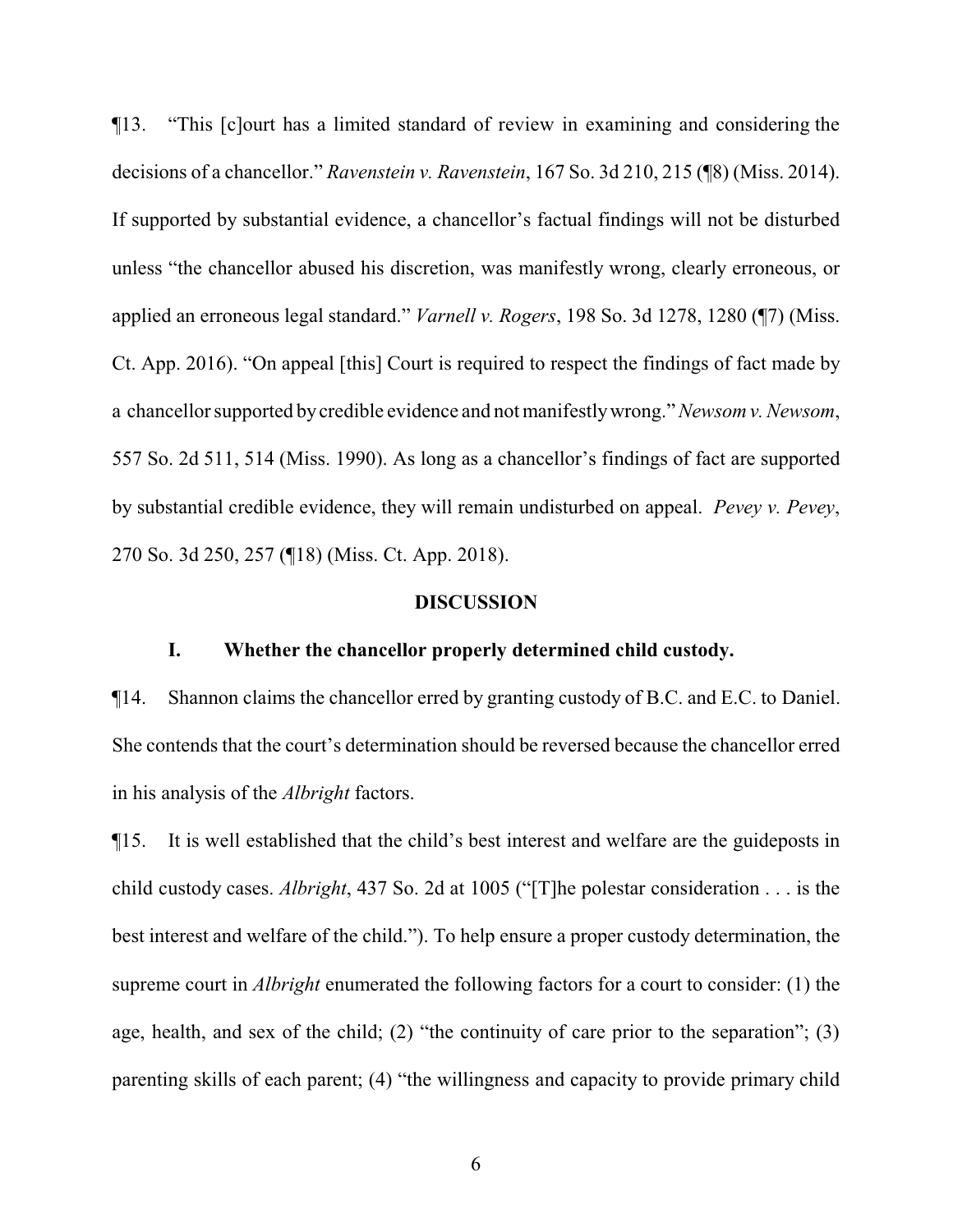¶13. "This [c]ourt has a limited standard of review in examining and considering the decisions of a chancellor." *Ravenstein v. Ravenstein*, 167 So. 3d 210, 215 (¶8) (Miss. 2014). If supported by substantial evidence, a chancellor's factual findings will not be disturbed unless "the chancellor abused his discretion, was manifestly wrong, clearly erroneous, or applied an erroneous legal standard." *Varnell v. Rogers*, 198 So. 3d 1278, 1280 (¶7) (Miss. Ct. App. 2016). "On appeal [this] Court is required to respect the findings of fact made by a chancellor supported bycredible evidence and not manifestlywrong." *Newsom v. Newsom*, 557 So. 2d 511, 514 (Miss. 1990). As long as a chancellor's findings of fact are supported by substantial credible evidence, they will remain undisturbed on appeal. *Pevey v. Pevey*, 270 So. 3d 250, 257 (¶18) (Miss. Ct. App. 2018).

#### **DISCUSSION**

#### **I. Whether the chancellor properly determined child custody.**

¶14. Shannon claims the chancellor erred by granting custody of B.C. and E.C. to Daniel. She contends that the court's determination should be reversed because the chancellor erred in his analysis of the *Albright* factors.

¶15. It is well established that the child's best interest and welfare are the guideposts in child custody cases. *Albright*, 437 So. 2d at 1005 ("[T]he polestar consideration . . . is the best interest and welfare of the child."). To help ensure a proper custody determination, the supreme court in *Albright* enumerated the following factors for a court to consider: (1) the age, health, and sex of the child; (2) "the continuity of care prior to the separation"; (3) parenting skills of each parent; (4) "the willingness and capacity to provide primary child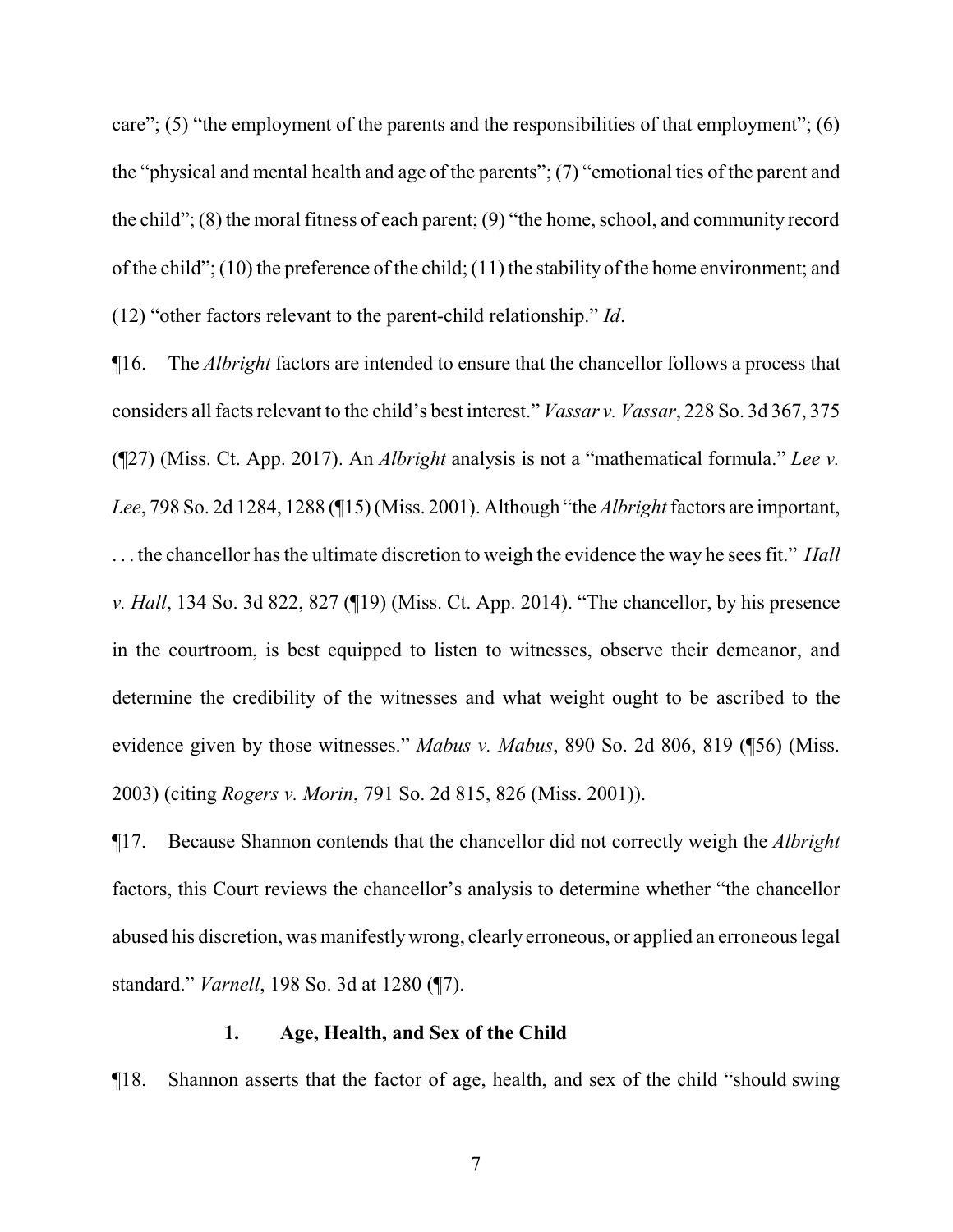care"; (5) "the employment of the parents and the responsibilities of that employment"; (6) the "physical and mental health and age of the parents"; (7) "emotional ties of the parent and the child";  $(8)$  the moral fitness of each parent;  $(9)$  "the home, school, and community record of the child"; (10) the preference of the child; (11) the stability of the home environment; and (12) "other factors relevant to the parent-child relationship." *Id*.

¶16. The *Albright* factors are intended to ensure that the chancellor follows a process that considers all facts relevant to the child's best interest." *Vassar v. Vassar*, 228 So. 3d 367, 375 (¶27) (Miss. Ct. App. 2017). An *Albright* analysis is not a "mathematical formula." *Lee v. Lee*, 798 So. 2d 1284, 1288 (¶15) (Miss. 2001). Although "the *Albright*factors are important, . . . the chancellor has the ultimate discretion to weigh the evidence the way he sees fit." *Hall v. Hall*, 134 So. 3d 822, 827 (¶19) (Miss. Ct. App. 2014). "The chancellor, by his presence in the courtroom, is best equipped to listen to witnesses, observe their demeanor, and determine the credibility of the witnesses and what weight ought to be ascribed to the evidence given by those witnesses." *Mabus v. Mabus*, 890 So. 2d 806, 819 (¶56) (Miss. 2003) (citing *Rogers v. Morin*, 791 So. 2d 815, 826 (Miss. 2001)).

¶17. Because Shannon contends that the chancellor did not correctly weigh the *Albright* factors, this Court reviews the chancellor's analysis to determine whether "the chancellor abused his discretion, was manifestlywrong, clearly erroneous, or applied an erroneous legal standard." *Varnell*, 198 So. 3d at 1280 (¶7).

#### **1. Age, Health, and Sex of the Child**

¶18. Shannon asserts that the factor of age, health, and sex of the child "should swing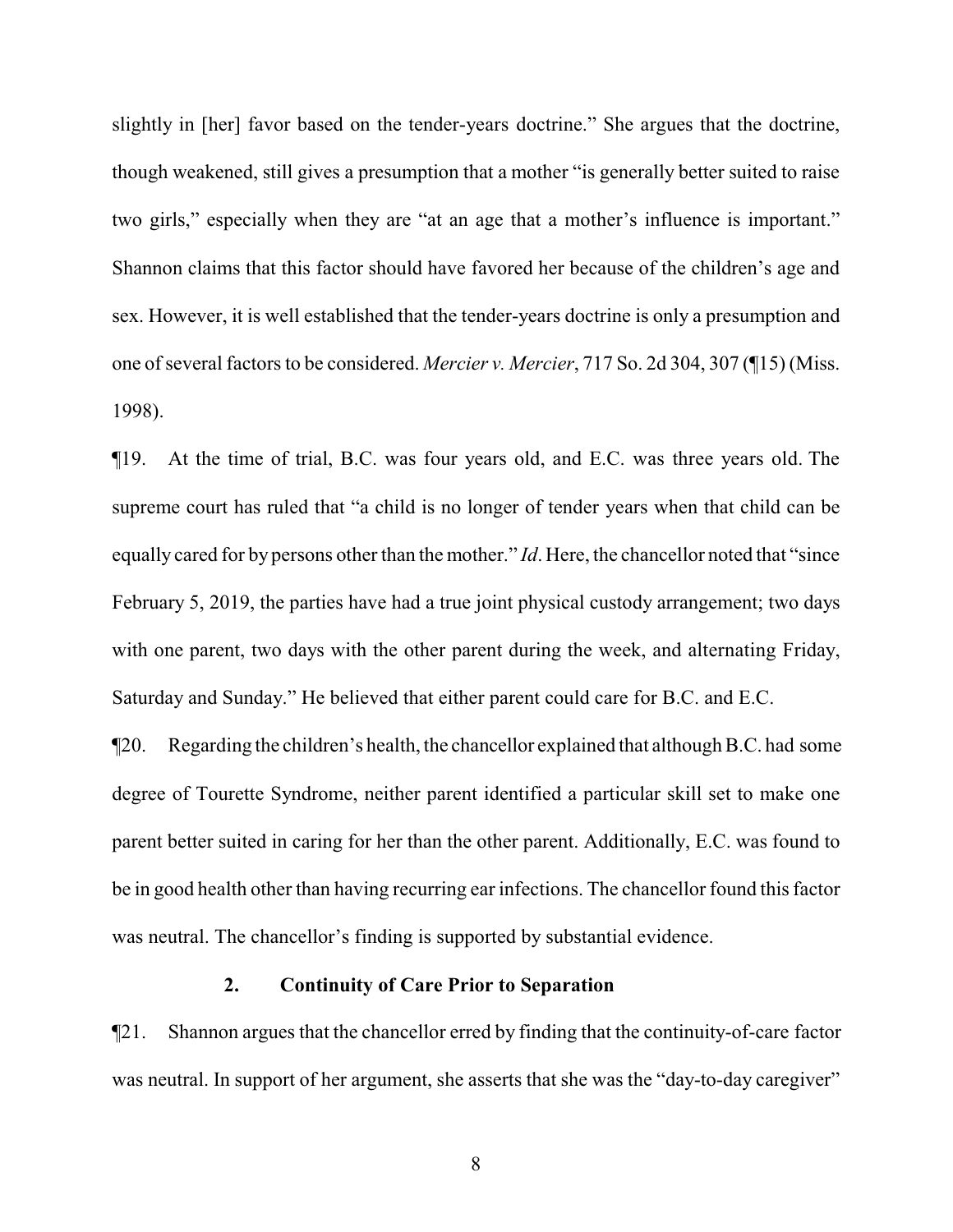slightly in [her] favor based on the tender-years doctrine." She argues that the doctrine, though weakened, still gives a presumption that a mother "is generally better suited to raise two girls," especially when they are "at an age that a mother's influence is important." Shannon claims that this factor should have favored her because of the children's age and sex. However, it is well established that the tender-years doctrine is only a presumption and one of several factors to be considered. *Mercier v. Mercier*, 717 So. 2d 304, 307 (¶15) (Miss. 1998).

¶19. At the time of trial, B.C. was four years old, and E.C. was three years old. The supreme court has ruled that "a child is no longer of tender years when that child can be equally cared for by persons other than the mother." *Id*. Here, the chancellor noted that "since February 5, 2019, the parties have had a true joint physical custody arrangement; two days with one parent, two days with the other parent during the week, and alternating Friday, Saturday and Sunday." He believed that either parent could care for B.C. and E.C.

¶20. Regarding the children's health, the chancellor explained that although B.C. had some degree of Tourette Syndrome, neither parent identified a particular skill set to make one parent better suited in caring for her than the other parent. Additionally, E.C. was found to be in good health other than having recurring ear infections. The chancellor found this factor was neutral. The chancellor's finding is supported by substantial evidence.

#### **2. Continuity of Care Prior to Separation**

¶21. Shannon argues that the chancellor erred by finding that the continuity-of-care factor was neutral. In support of her argument, she asserts that she was the "day-to-day caregiver"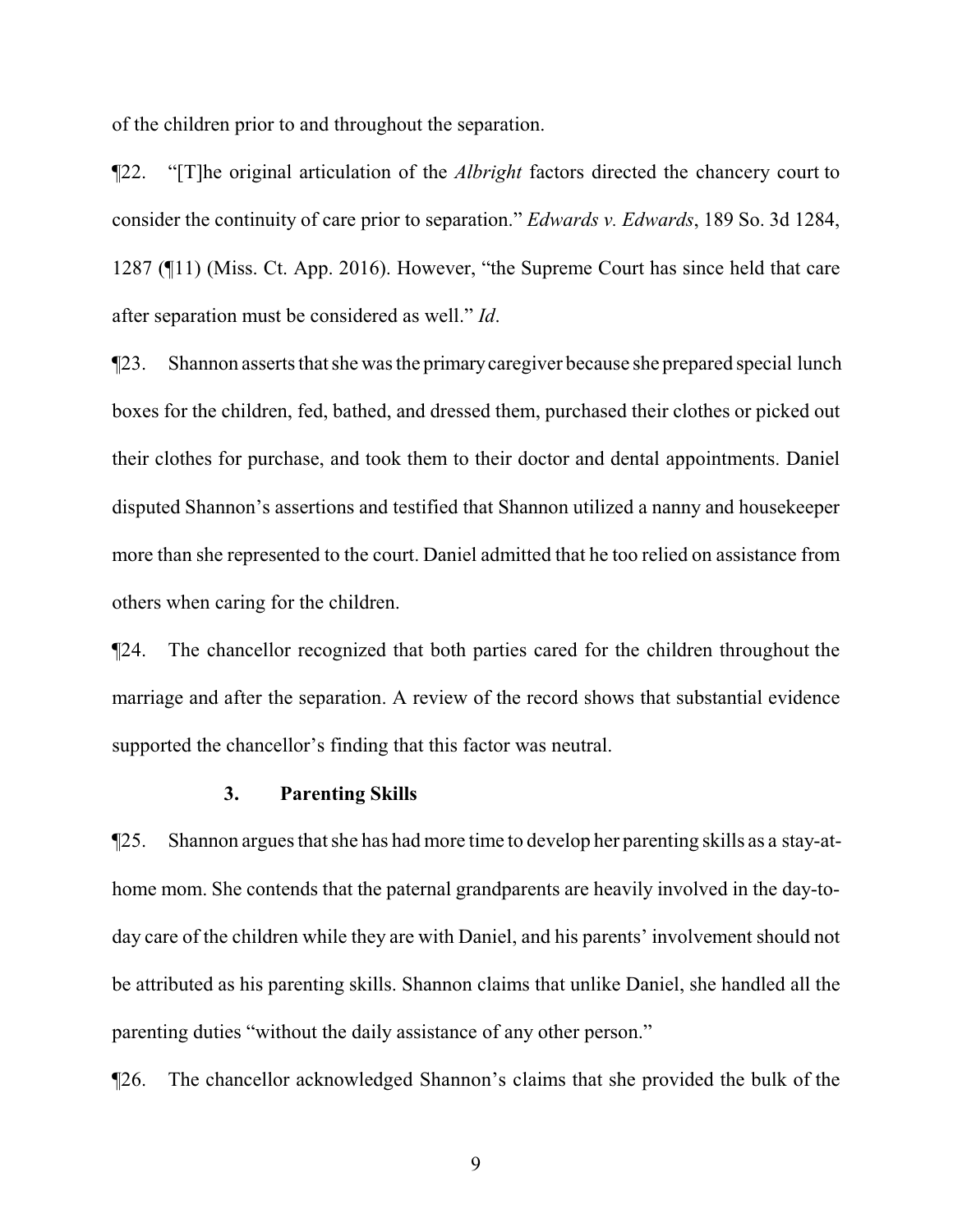of the children prior to and throughout the separation.

¶22. "[T]he original articulation of the *Albright* factors directed the chancery court to consider the continuity of care prior to separation." *Edwards v. Edwards*, 189 So. 3d 1284, 1287 (¶11) (Miss. Ct. App. 2016). However, "the Supreme Court has since held that care after separation must be considered as well." *Id*.

¶23. Shannon asserts that she was the primarycaregiver because she prepared special lunch boxes for the children, fed, bathed, and dressed them, purchased their clothes or picked out their clothes for purchase, and took them to their doctor and dental appointments. Daniel disputed Shannon's assertions and testified that Shannon utilized a nanny and housekeeper more than she represented to the court. Daniel admitted that he too relied on assistance from others when caring for the children.

¶24. The chancellor recognized that both parties cared for the children throughout the marriage and after the separation. A review of the record shows that substantial evidence supported the chancellor's finding that this factor was neutral.

#### **3. Parenting Skills**

¶25. Shannon argues that she has had more time to develop her parenting skills as a stay-athome mom. She contends that the paternal grandparents are heavily involved in the day-today care of the children while they are with Daniel, and his parents' involvement should not be attributed as his parenting skills. Shannon claims that unlike Daniel, she handled all the parenting duties "without the daily assistance of any other person."

¶26. The chancellor acknowledged Shannon's claims that she provided the bulk of the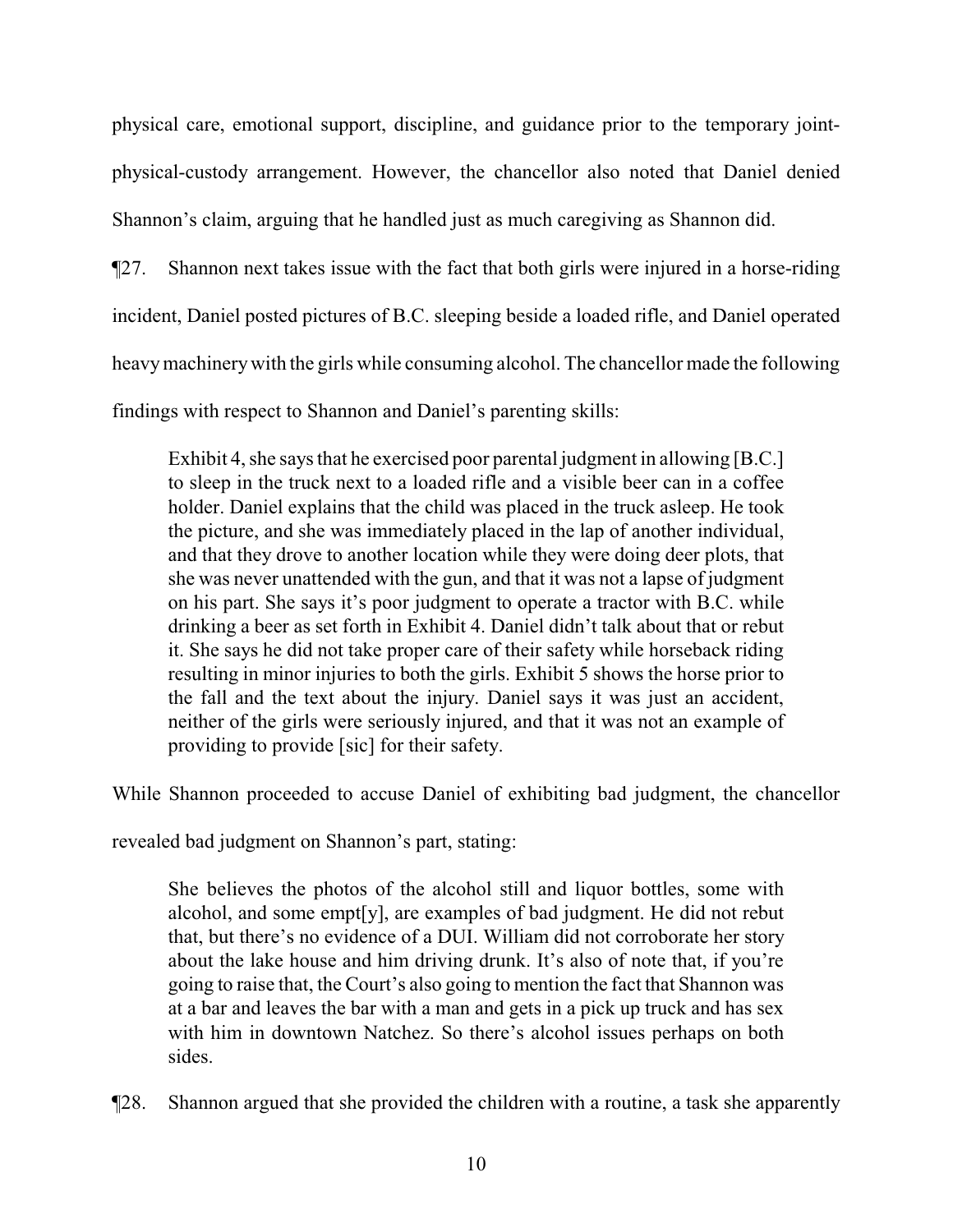physical care, emotional support, discipline, and guidance prior to the temporary jointphysical-custody arrangement. However, the chancellor also noted that Daniel denied Shannon's claim, arguing that he handled just as much caregiving as Shannon did.

¶27. Shannon next takes issue with the fact that both girls were injured in a horse-riding incident, Daniel posted pictures of B.C. sleeping beside a loaded rifle, and Daniel operated heavymachinerywith the girls while consuming alcohol. The chancellor made the following findings with respect to Shannon and Daniel's parenting skills:

Exhibit 4, she says that he exercised poor parental judgment in allowing [B.C.] to sleep in the truck next to a loaded rifle and a visible beer can in a coffee holder. Daniel explains that the child was placed in the truck asleep. He took the picture, and she was immediately placed in the lap of another individual, and that they drove to another location while they were doing deer plots, that she was never unattended with the gun, and that it was not a lapse of judgment on his part. She says it's poor judgment to operate a tractor with B.C. while drinking a beer as set forth in Exhibit 4. Daniel didn't talk about that or rebut it. She says he did not take proper care of their safety while horseback riding resulting in minor injuries to both the girls. Exhibit 5 shows the horse prior to the fall and the text about the injury. Daniel says it was just an accident, neither of the girls were seriously injured, and that it was not an example of providing to provide [sic] for their safety.

While Shannon proceeded to accuse Daniel of exhibiting bad judgment, the chancellor

revealed bad judgment on Shannon's part, stating:

She believes the photos of the alcohol still and liquor bottles, some with alcohol, and some empt[y], are examples of bad judgment. He did not rebut that, but there's no evidence of a DUI. William did not corroborate her story about the lake house and him driving drunk. It's also of note that, if you're going to raise that, the Court's also going to mention the fact that Shannon was at a bar and leaves the bar with a man and gets in a pick up truck and has sex with him in downtown Natchez. So there's alcohol issues perhaps on both sides.

¶28. Shannon argued that she provided the children with a routine, a task she apparently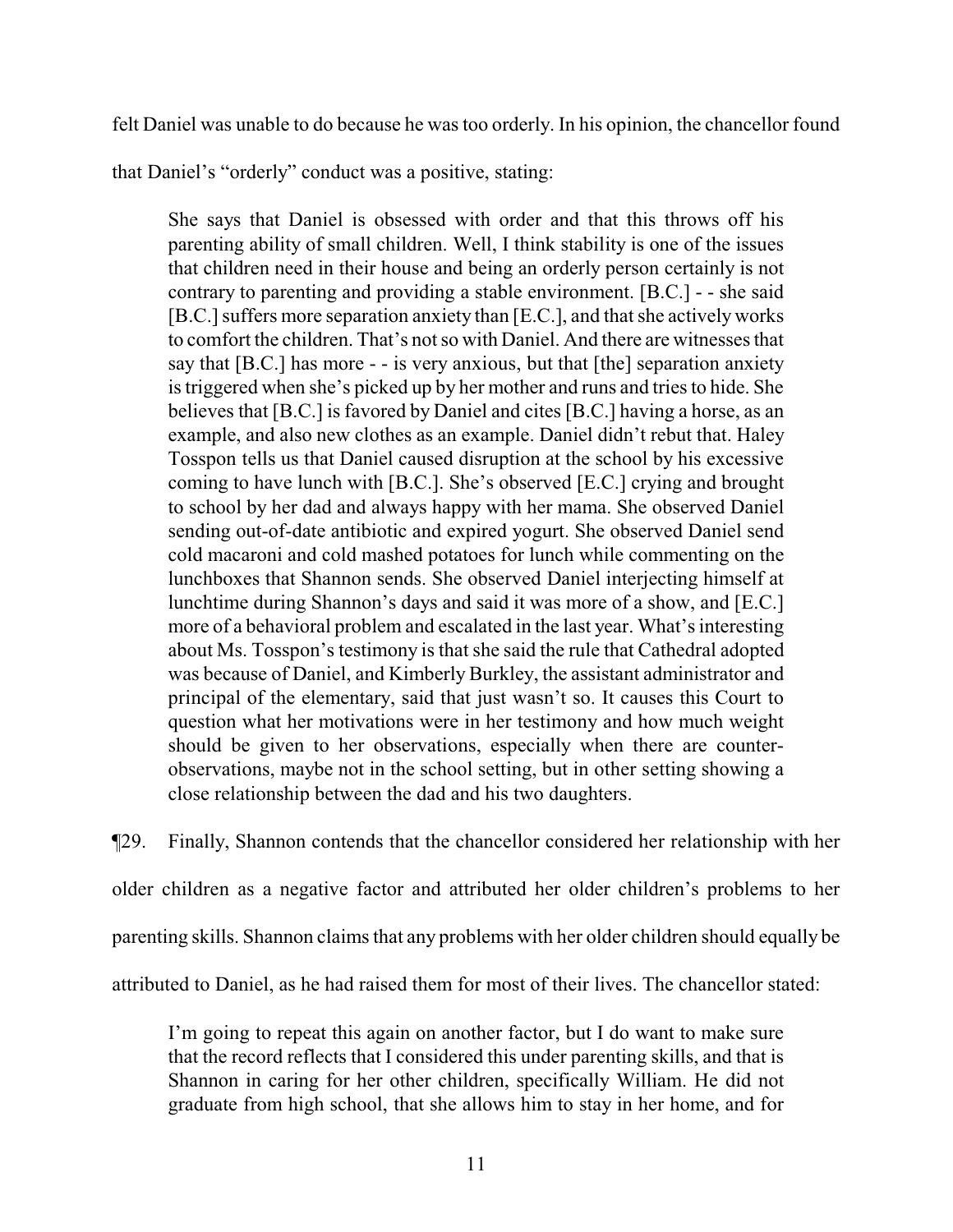felt Daniel was unable to do because he was too orderly. In his opinion, the chancellor found

that Daniel's "orderly" conduct was a positive, stating:

She says that Daniel is obsessed with order and that this throws off his parenting ability of small children. Well, I think stability is one of the issues that children need in their house and being an orderly person certainly is not contrary to parenting and providing a stable environment. [B.C.] - - she said [B.C.] suffers more separation anxiety than [E.C.], and that she actively works to comfort the children. That's not so with Daniel. And there are witnesses that say that [B.C.] has more - - is very anxious, but that [the] separation anxiety is triggered when she's picked up by her mother and runs and tries to hide. She believes that [B.C.] is favored by Daniel and cites [B.C.] having a horse, as an example, and also new clothes as an example. Daniel didn't rebut that. Haley Tosspon tells us that Daniel caused disruption at the school by his excessive coming to have lunch with [B.C.]. She's observed [E.C.] crying and brought to school by her dad and always happy with her mama. She observed Daniel sending out-of-date antibiotic and expired yogurt. She observed Daniel send cold macaroni and cold mashed potatoes for lunch while commenting on the lunchboxes that Shannon sends. She observed Daniel interjecting himself at lunchtime during Shannon's days and said it was more of a show, and [E.C.] more of a behavioral problem and escalated in the last year. What's interesting about Ms. Tosspon's testimony is that she said the rule that Cathedral adopted was because of Daniel, and Kimberly Burkley, the assistant administrator and principal of the elementary, said that just wasn't so. It causes this Court to question what her motivations were in her testimony and how much weight should be given to her observations, especially when there are counterobservations, maybe not in the school setting, but in other setting showing a close relationship between the dad and his two daughters.

¶29. Finally, Shannon contends that the chancellor considered her relationship with her older children as a negative factor and attributed her older children's problems to her parenting skills. Shannon claims that any problems with her older children should equally be attributed to Daniel, as he had raised them for most of their lives. The chancellor stated:

I'm going to repeat this again on another factor, but I do want to make sure that the record reflects that I considered this under parenting skills, and that is Shannon in caring for her other children, specifically William. He did not graduate from high school, that she allows him to stay in her home, and for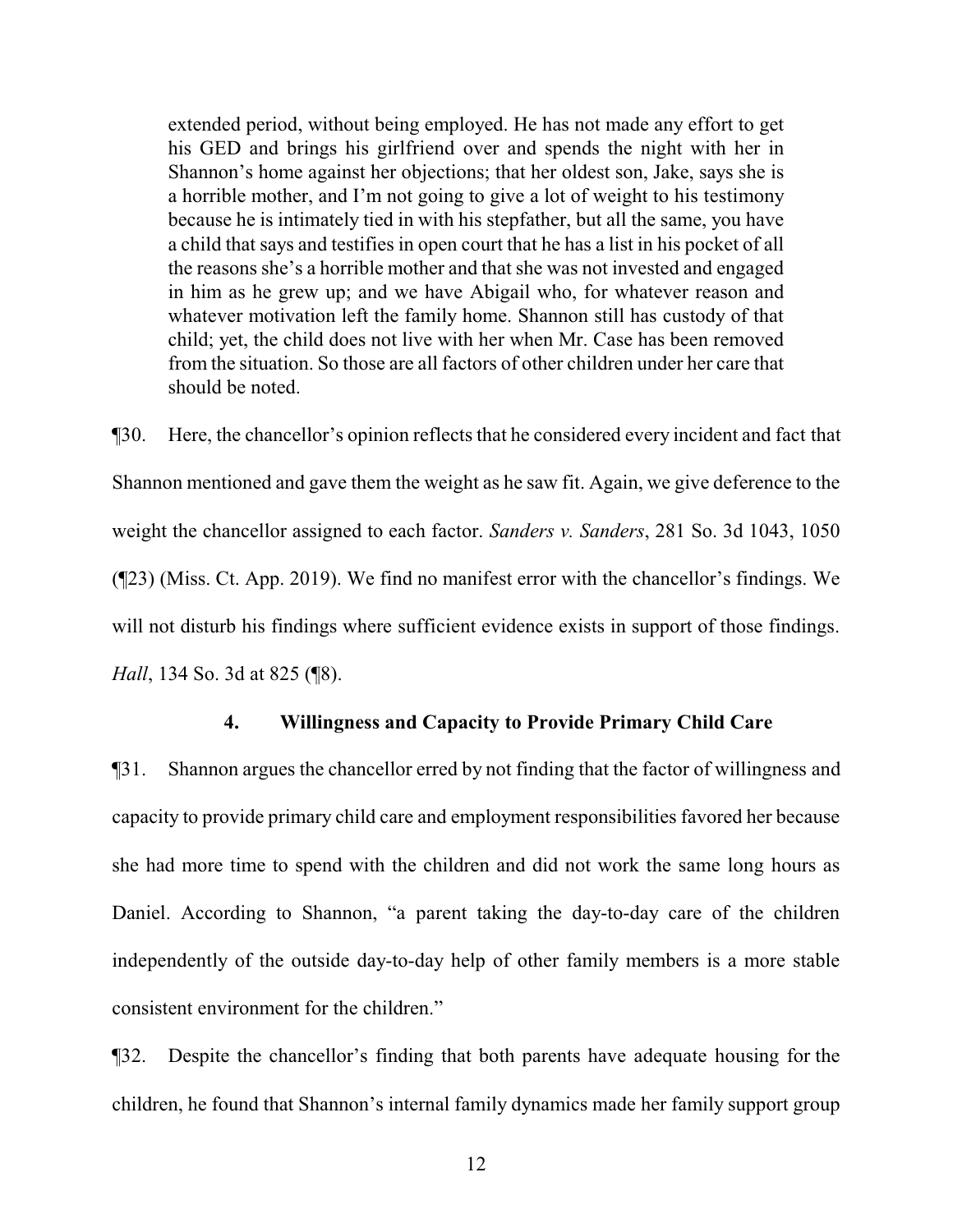extended period, without being employed. He has not made any effort to get his GED and brings his girlfriend over and spends the night with her in Shannon's home against her objections; that her oldest son, Jake, says she is a horrible mother, and I'm not going to give a lot of weight to his testimony because he is intimately tied in with his stepfather, but all the same, you have a child that says and testifies in open court that he has a list in his pocket of all the reasons she's a horrible mother and that she was not invested and engaged in him as he grew up; and we have Abigail who, for whatever reason and whatever motivation left the family home. Shannon still has custody of that child; yet, the child does not live with her when Mr. Case has been removed from the situation. So those are all factors of other children under her care that should be noted.

¶30. Here, the chancellor's opinion reflects that he considered every incident and fact that Shannon mentioned and gave them the weight as he saw fit. Again, we give deference to the weight the chancellor assigned to each factor. *Sanders v. Sanders*, 281 So. 3d 1043, 1050 (¶23) (Miss. Ct. App. 2019). We find no manifest error with the chancellor's findings. We will not disturb his findings where sufficient evidence exists in support of those findings. *Hall*, 134 So. 3d at 825 (¶8).

### **4. Willingness and Capacity to Provide Primary Child Care**

¶31. Shannon argues the chancellor erred by not finding that the factor of willingness and capacity to provide primary child care and employment responsibilities favored her because she had more time to spend with the children and did not work the same long hours as Daniel. According to Shannon, "a parent taking the day-to-day care of the children independently of the outside day-to-day help of other family members is a more stable consistent environment for the children."

¶32. Despite the chancellor's finding that both parents have adequate housing for the children, he found that Shannon's internal family dynamics made her family support group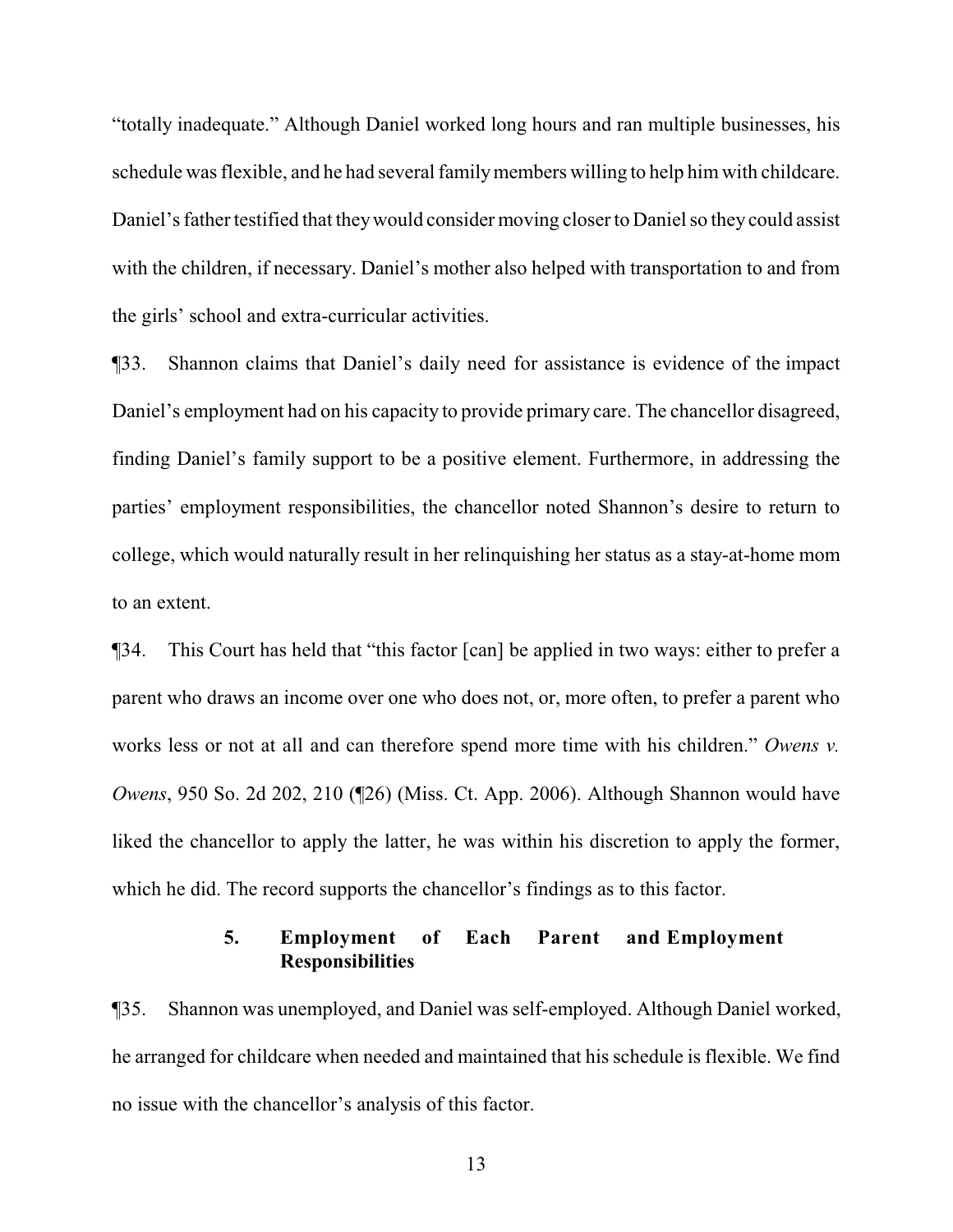"totally inadequate." Although Daniel worked long hours and ran multiple businesses, his schedule was flexible, and he had several familymembers willing to help him with childcare. Daniel's father testified that theywould consider moving closer to Daniel so they could assist with the children, if necessary. Daniel's mother also helped with transportation to and from the girls' school and extra-curricular activities.

¶33. Shannon claims that Daniel's daily need for assistance is evidence of the impact Daniel's employment had on his capacity to provide primary care. The chancellor disagreed, finding Daniel's family support to be a positive element. Furthermore, in addressing the parties' employment responsibilities, the chancellor noted Shannon's desire to return to college, which would naturally result in her relinquishing her status as a stay-at-home mom to an extent.

¶34. This Court has held that "this factor [can] be applied in two ways: either to prefer a parent who draws an income over one who does not, or, more often, to prefer a parent who works less or not at all and can therefore spend more time with his children." *Owens v. Owens*, 950 So. 2d 202, 210 (¶26) (Miss. Ct. App. 2006). Although Shannon would have liked the chancellor to apply the latter, he was within his discretion to apply the former, which he did. The record supports the chancellor's findings as to this factor.

# **5. Employment of Each Parent and Employment Responsibilities**

¶35. Shannon was unemployed, and Daniel was self-employed. Although Daniel worked, he arranged for childcare when needed and maintained that his schedule is flexible. We find no issue with the chancellor's analysis of this factor.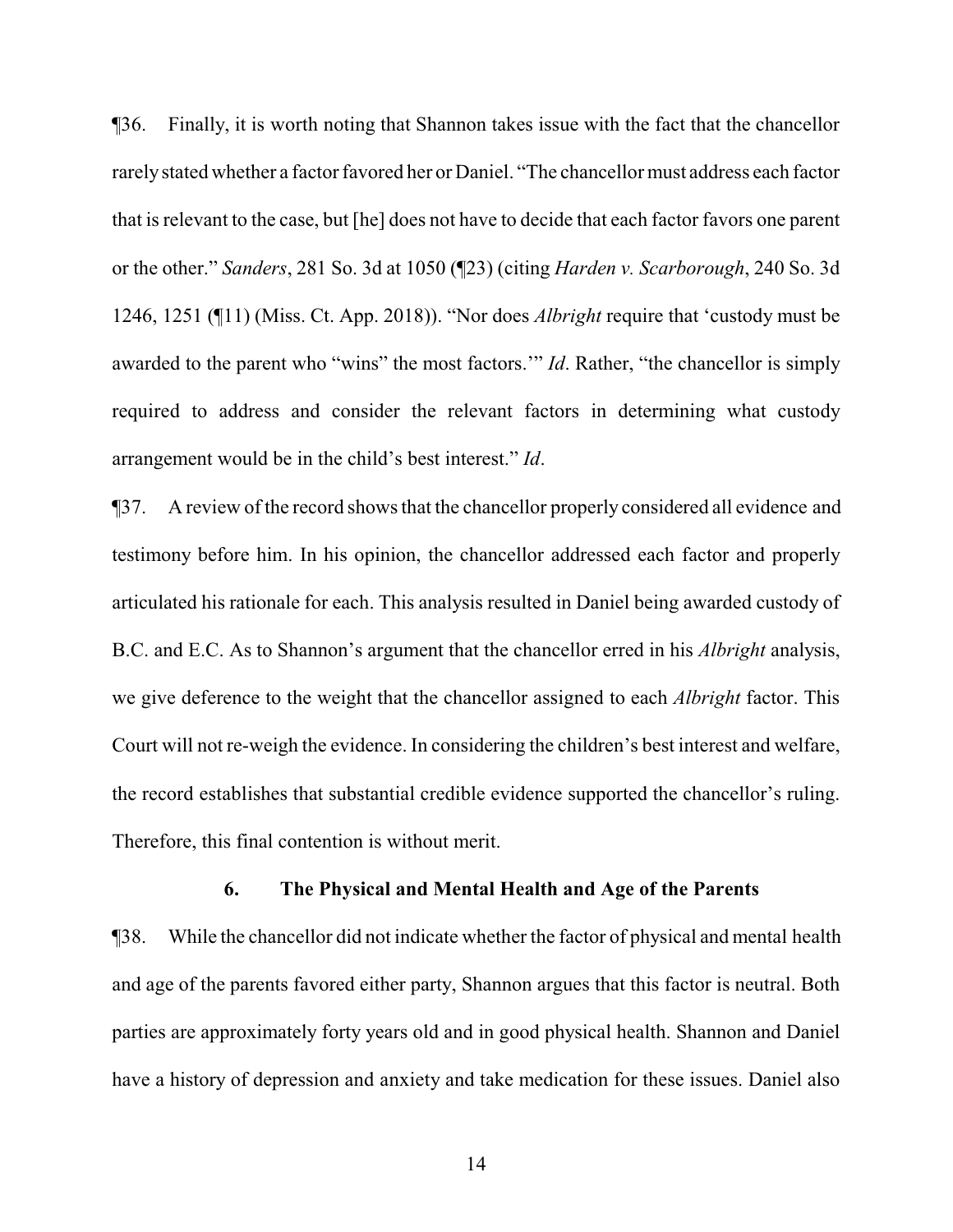¶36. Finally, it is worth noting that Shannon takes issue with the fact that the chancellor rarelystated whether a factor favored her or Daniel. "The chancellor must address each factor that is relevant to the case, but [he] does not have to decide that each factor favors one parent or the other." *Sanders*, 281 So. 3d at 1050 (¶23) (citing *Harden v. Scarborough*, 240 So. 3d 1246, 1251 (¶11) (Miss. Ct. App. 2018)). "Nor does *Albright* require that 'custody must be awarded to the parent who "wins" the most factors.'" *Id*. Rather, "the chancellor is simply required to address and consider the relevant factors in determining what custody arrangement would be in the child's best interest." *Id*.

¶37. A review of the record shows that the chancellor properly considered all evidence and testimony before him. In his opinion, the chancellor addressed each factor and properly articulated his rationale for each. This analysis resulted in Daniel being awarded custody of B.C. and E.C. As to Shannon's argument that the chancellor erred in his *Albright* analysis, we give deference to the weight that the chancellor assigned to each *Albright* factor. This Court will not re-weigh the evidence. In considering the children's best interest and welfare, the record establishes that substantial credible evidence supported the chancellor's ruling. Therefore, this final contention is without merit.

### **6. The Physical and Mental Health and Age of the Parents**

¶38. While the chancellor did not indicate whether the factor of physical and mental health and age of the parents favored either party, Shannon argues that this factor is neutral. Both parties are approximately forty years old and in good physical health. Shannon and Daniel have a history of depression and anxiety and take medication for these issues. Daniel also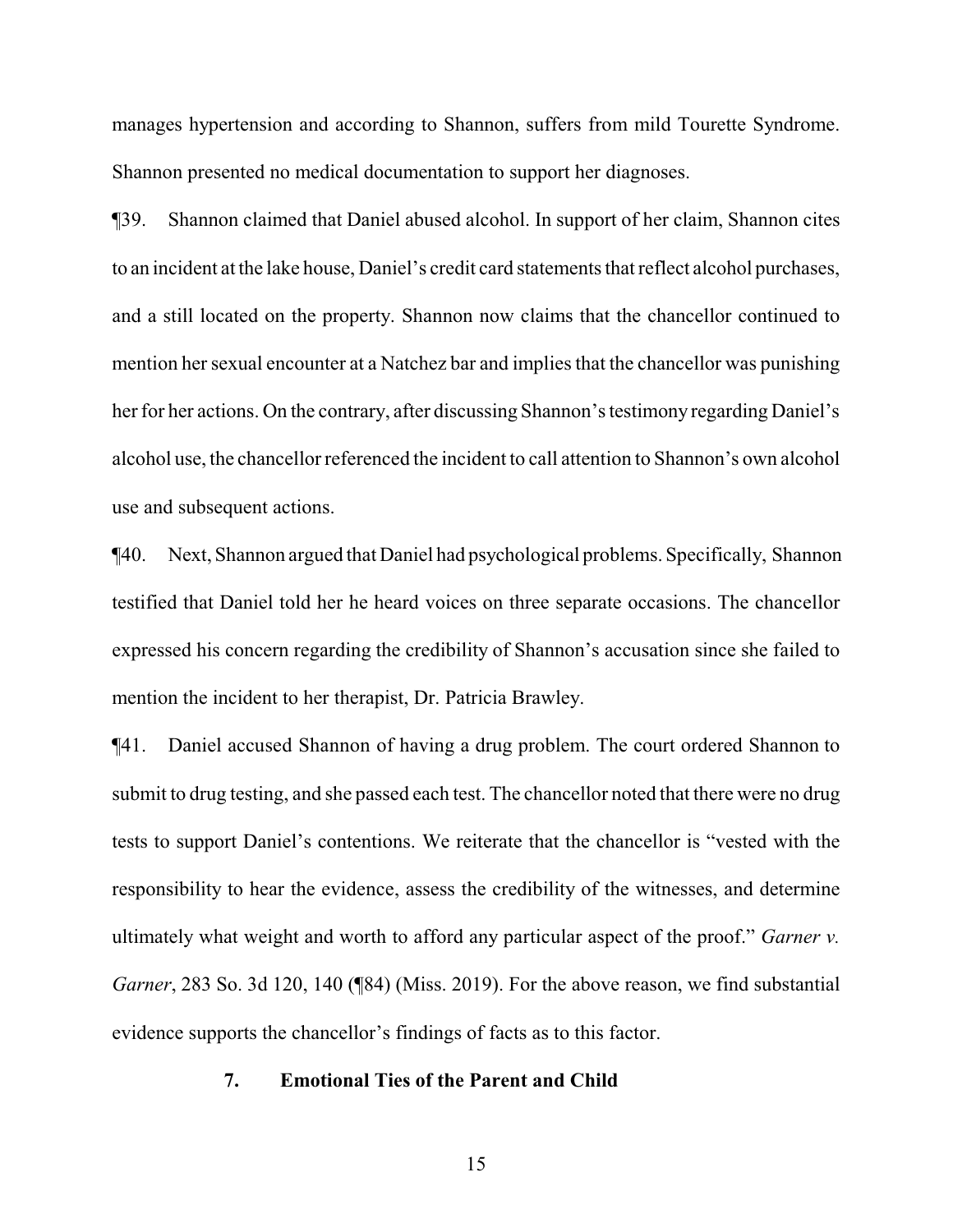manages hypertension and according to Shannon, suffers from mild Tourette Syndrome. Shannon presented no medical documentation to support her diagnoses.

¶39. Shannon claimed that Daniel abused alcohol. In support of her claim, Shannon cites to an incident at the lake house, Daniel's credit card statements that reflect alcohol purchases, and a still located on the property. Shannon now claims that the chancellor continued to mention her sexual encounter at a Natchez bar and implies that the chancellor was punishing her for her actions. On the contrary, after discussing Shannon's testimony regarding Daniel's alcohol use, the chancellor referenced the incident to call attention to Shannon's own alcohol use and subsequent actions.

¶40. Next, Shannon argued that Daniel had psychological problems. Specifically, Shannon testified that Daniel told her he heard voices on three separate occasions. The chancellor expressed his concern regarding the credibility of Shannon's accusation since she failed to mention the incident to her therapist, Dr. Patricia Brawley.

¶41. Daniel accused Shannon of having a drug problem. The court ordered Shannon to submit to drug testing, and she passed each test. The chancellor noted that there were no drug tests to support Daniel's contentions. We reiterate that the chancellor is "vested with the responsibility to hear the evidence, assess the credibility of the witnesses, and determine ultimately what weight and worth to afford any particular aspect of the proof." *Garner v. Garner*, 283 So. 3d 120, 140 (¶84) (Miss. 2019). For the above reason, we find substantial evidence supports the chancellor's findings of facts as to this factor.

# **7. Emotional Ties of the Parent and Child**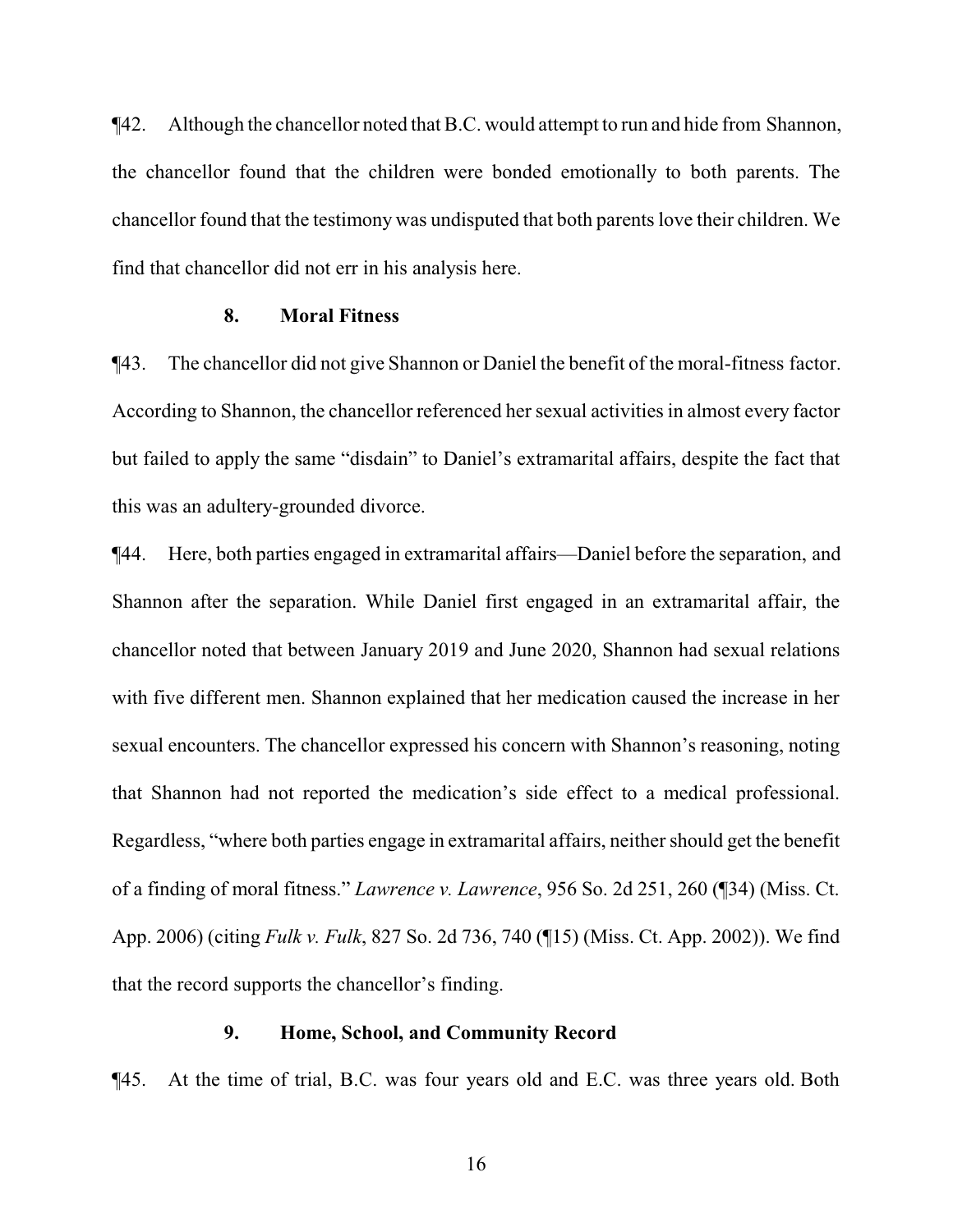¶42. Although the chancellor noted that B.C. would attempt to run and hide from Shannon, the chancellor found that the children were bonded emotionally to both parents. The chancellor found that the testimony was undisputed that both parents love their children. We find that chancellor did not err in his analysis here.

#### **8. Moral Fitness**

¶43. The chancellor did not give Shannon or Daniel the benefit of the moral-fitness factor. According to Shannon, the chancellor referenced her sexual activities in almost every factor but failed to apply the same "disdain" to Daniel's extramarital affairs, despite the fact that this was an adultery-grounded divorce.

¶44. Here, both parties engaged in extramarital affairs—Daniel before the separation, and Shannon after the separation. While Daniel first engaged in an extramarital affair, the chancellor noted that between January 2019 and June 2020, Shannon had sexual relations with five different men. Shannon explained that her medication caused the increase in her sexual encounters. The chancellor expressed his concern with Shannon's reasoning, noting that Shannon had not reported the medication's side effect to a medical professional. Regardless, "where both parties engage in extramarital affairs, neither should get the benefit of a finding of moral fitness." *Lawrence v. Lawrence*, 956 So. 2d 251, 260 (¶34) (Miss. Ct. App. 2006) (citing *Fulk v. Fulk*, 827 So. 2d 736, 740 (¶15) (Miss. Ct. App. 2002)). We find that the record supports the chancellor's finding.

#### **9. Home, School, and Community Record**

¶45. At the time of trial, B.C. was four years old and E.C. was three years old. Both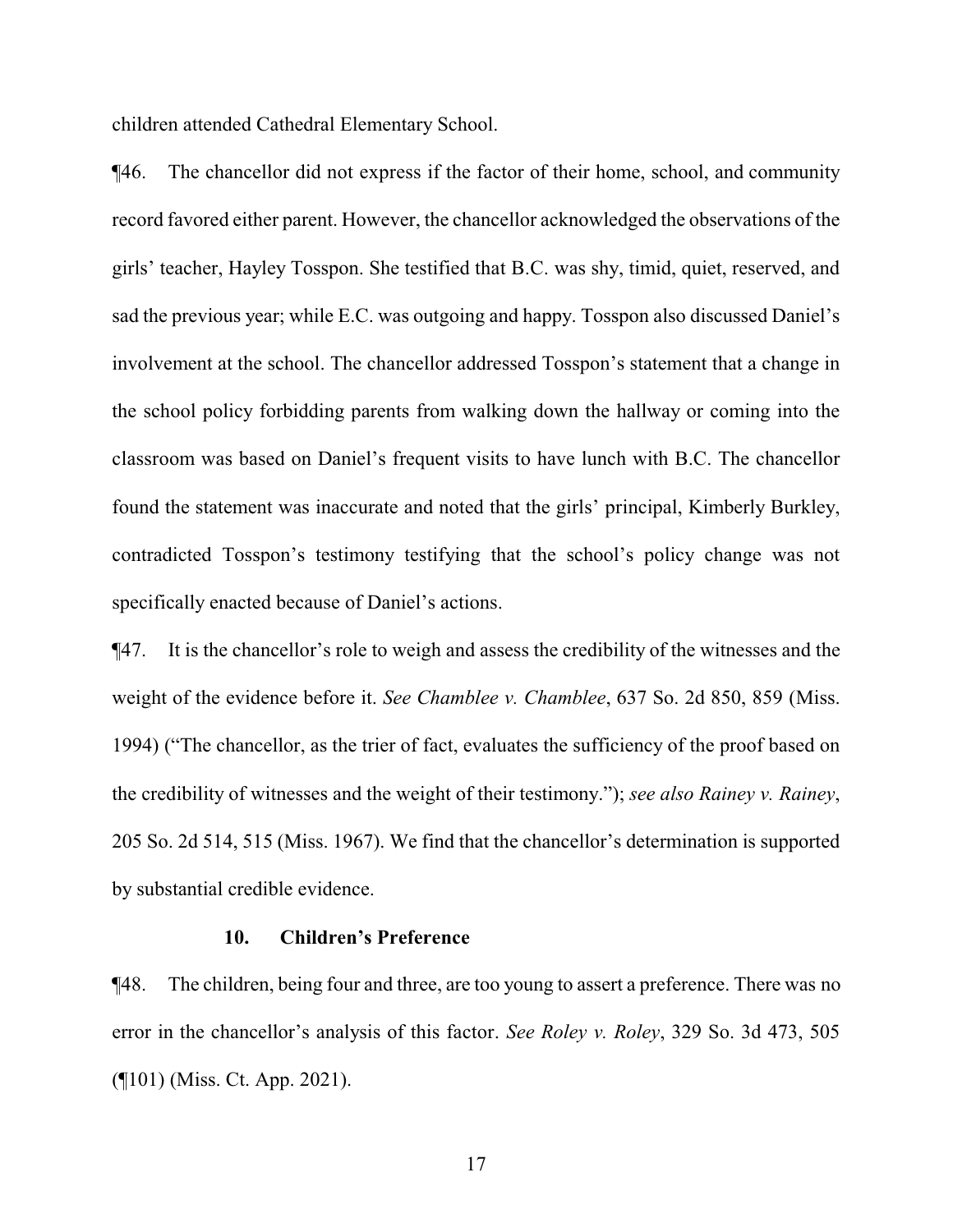children attended Cathedral Elementary School.

¶46. The chancellor did not express if the factor of their home, school, and community record favored either parent. However, the chancellor acknowledged the observations of the girls' teacher, Hayley Tosspon. She testified that B.C. was shy, timid, quiet, reserved, and sad the previous year; while E.C. was outgoing and happy. Tosspon also discussed Daniel's involvement at the school. The chancellor addressed Tosspon's statement that a change in the school policy forbidding parents from walking down the hallway or coming into the classroom was based on Daniel's frequent visits to have lunch with B.C. The chancellor found the statement was inaccurate and noted that the girls' principal, Kimberly Burkley, contradicted Tosspon's testimony testifying that the school's policy change was not specifically enacted because of Daniel's actions.

¶47. It is the chancellor's role to weigh and assess the credibility of the witnesses and the weight of the evidence before it. *See Chamblee v. Chamblee*, 637 So. 2d 850, 859 (Miss. 1994) ("The chancellor, as the trier of fact, evaluates the sufficiency of the proof based on the credibility of witnesses and the weight of their testimony."); *see also Rainey v. Rainey*, 205 So. 2d 514, 515 (Miss. 1967). We find that the chancellor's determination is supported by substantial credible evidence.

#### **10. Children's Preference**

¶48. The children, being four and three, are too young to assert a preference. There was no error in the chancellor's analysis of this factor. *See Roley v. Roley*, 329 So. 3d 473, 505 (¶101) (Miss. Ct. App. 2021).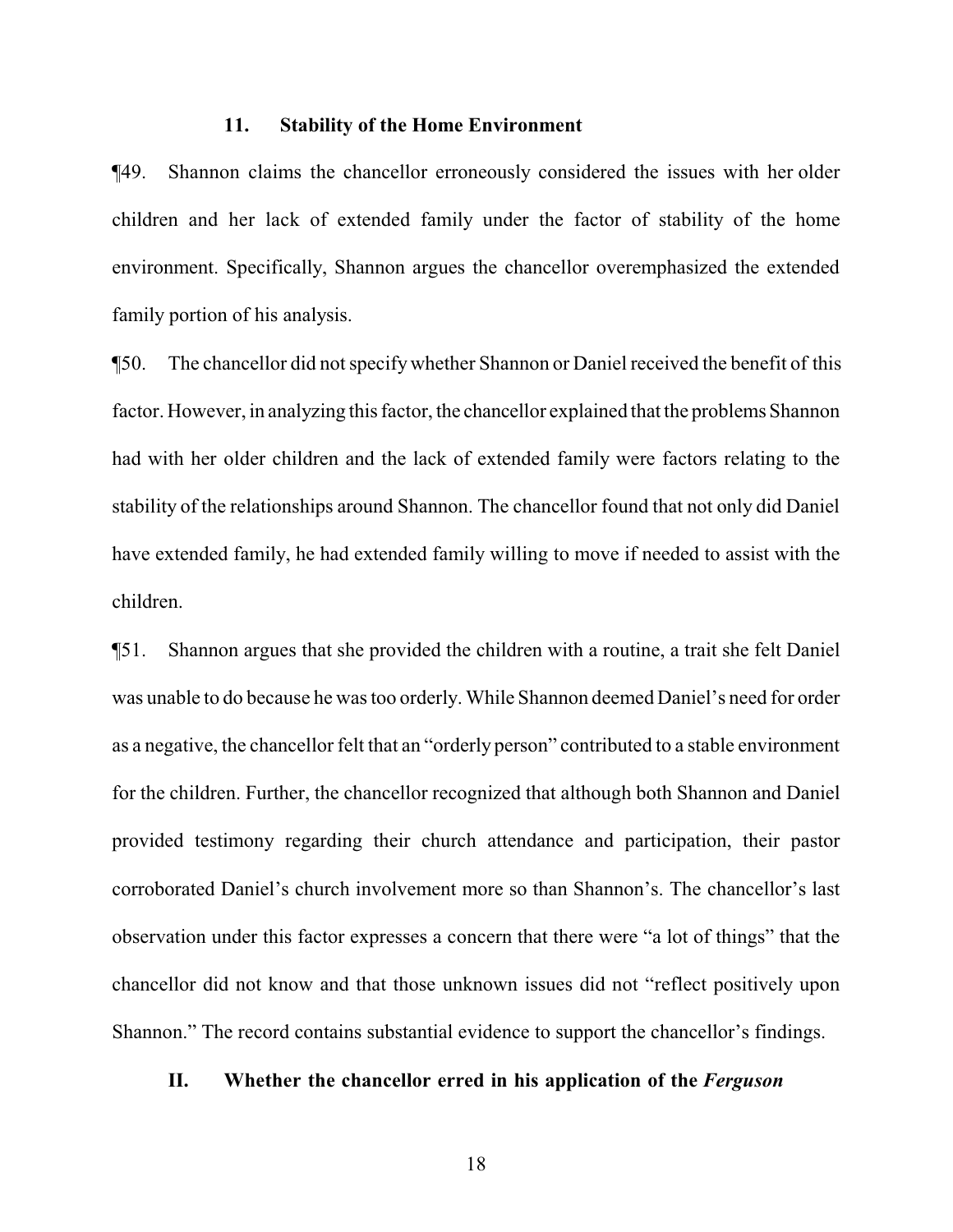#### **11. Stability of the Home Environment**

¶49. Shannon claims the chancellor erroneously considered the issues with her older children and her lack of extended family under the factor of stability of the home environment. Specifically, Shannon argues the chancellor overemphasized the extended family portion of his analysis.

¶50. The chancellor did not specifywhether Shannon or Daniel received the benefit of this factor. However, in analyzing this factor, the chancellor explained that the problems Shannon had with her older children and the lack of extended family were factors relating to the stability of the relationships around Shannon. The chancellor found that not only did Daniel have extended family, he had extended family willing to move if needed to assist with the children.

¶51. Shannon argues that she provided the children with a routine, a trait she felt Daniel was unable to do because he was too orderly. While Shannon deemed Daniel's need for order as a negative, the chancellor felt that an "orderly person" contributed to a stable environment for the children. Further, the chancellor recognized that although both Shannon and Daniel provided testimony regarding their church attendance and participation, their pastor corroborated Daniel's church involvement more so than Shannon's. The chancellor's last observation under this factor expresses a concern that there were "a lot of things" that the chancellor did not know and that those unknown issues did not "reflect positively upon Shannon." The record contains substantial evidence to support the chancellor's findings.

### **II. Whether the chancellor erred in his application of the** *Ferguson*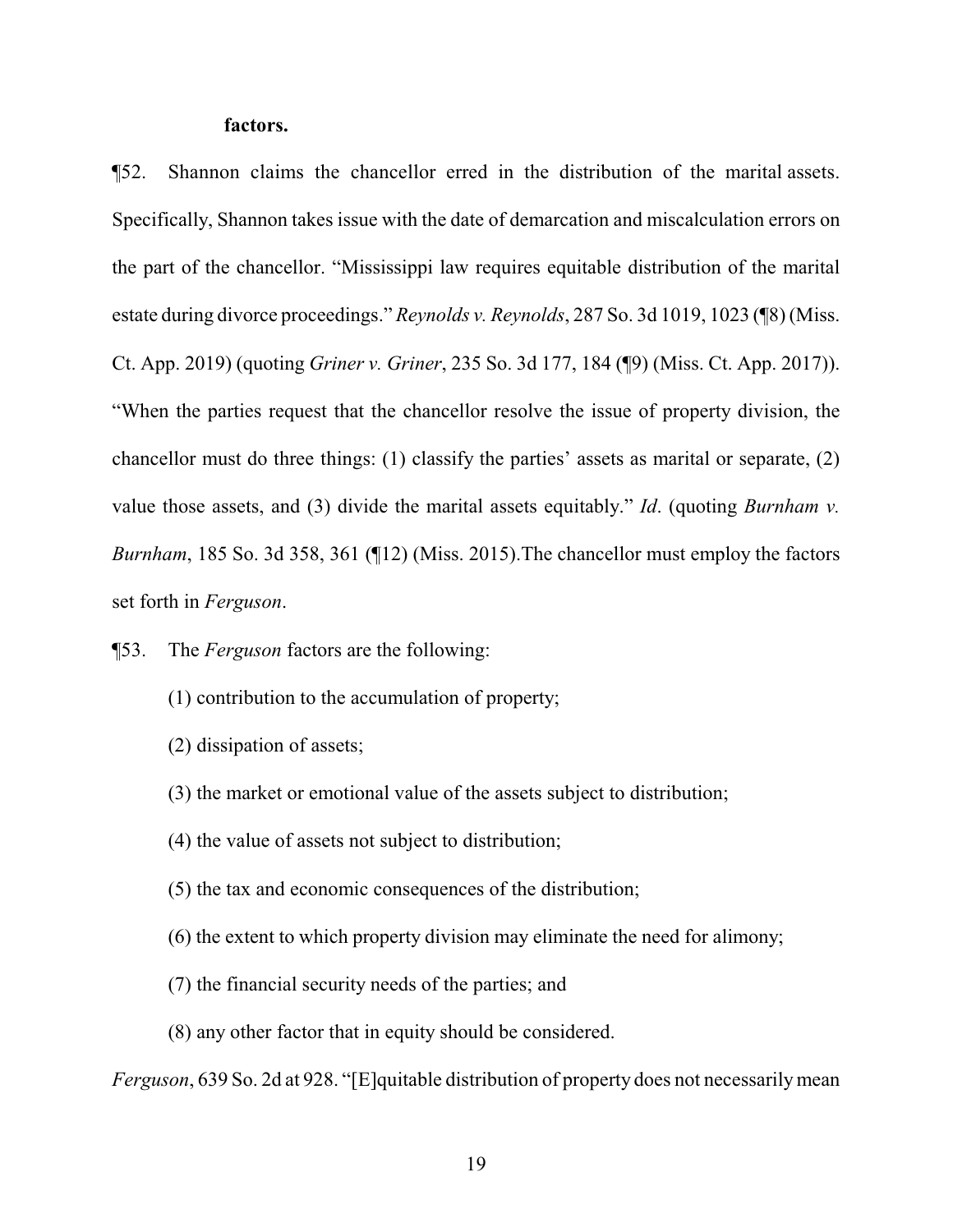#### **factors.**

¶52. Shannon claims the chancellor erred in the distribution of the marital assets. Specifically, Shannon takes issue with the date of demarcation and miscalculation errors on the part of the chancellor. "Mississippi law requires equitable distribution of the marital estate during divorce proceedings." *Reynolds v. Reynolds*, 287 So. 3d 1019, 1023 (¶8) (Miss. Ct. App. 2019) (quoting *Griner v. Griner*, 235 So. 3d 177, 184 (¶9) (Miss. Ct. App. 2017)). "When the parties request that the chancellor resolve the issue of property division, the chancellor must do three things: (1) classify the parties' assets as marital or separate, (2) value those assets, and (3) divide the marital assets equitably." *Id*. (quoting *Burnham v. Burnham*, 185 So. 3d 358, 361 (¶12) (Miss. 2015).The chancellor must employ the factors set forth in *Ferguson*.

¶53. The *Ferguson* factors are the following:

- (1) contribution to the accumulation of property;
- (2) dissipation of assets;
- (3) the market or emotional value of the assets subject to distribution;
- (4) the value of assets not subject to distribution;
- (5) the tax and economic consequences of the distribution;
- (6) the extent to which property division may eliminate the need for alimony;
- (7) the financial security needs of the parties; and
- (8) any other factor that in equity should be considered.

*Ferguson*, 639 So. 2d at 928. "[E]quitable distribution of property does not necessarily mean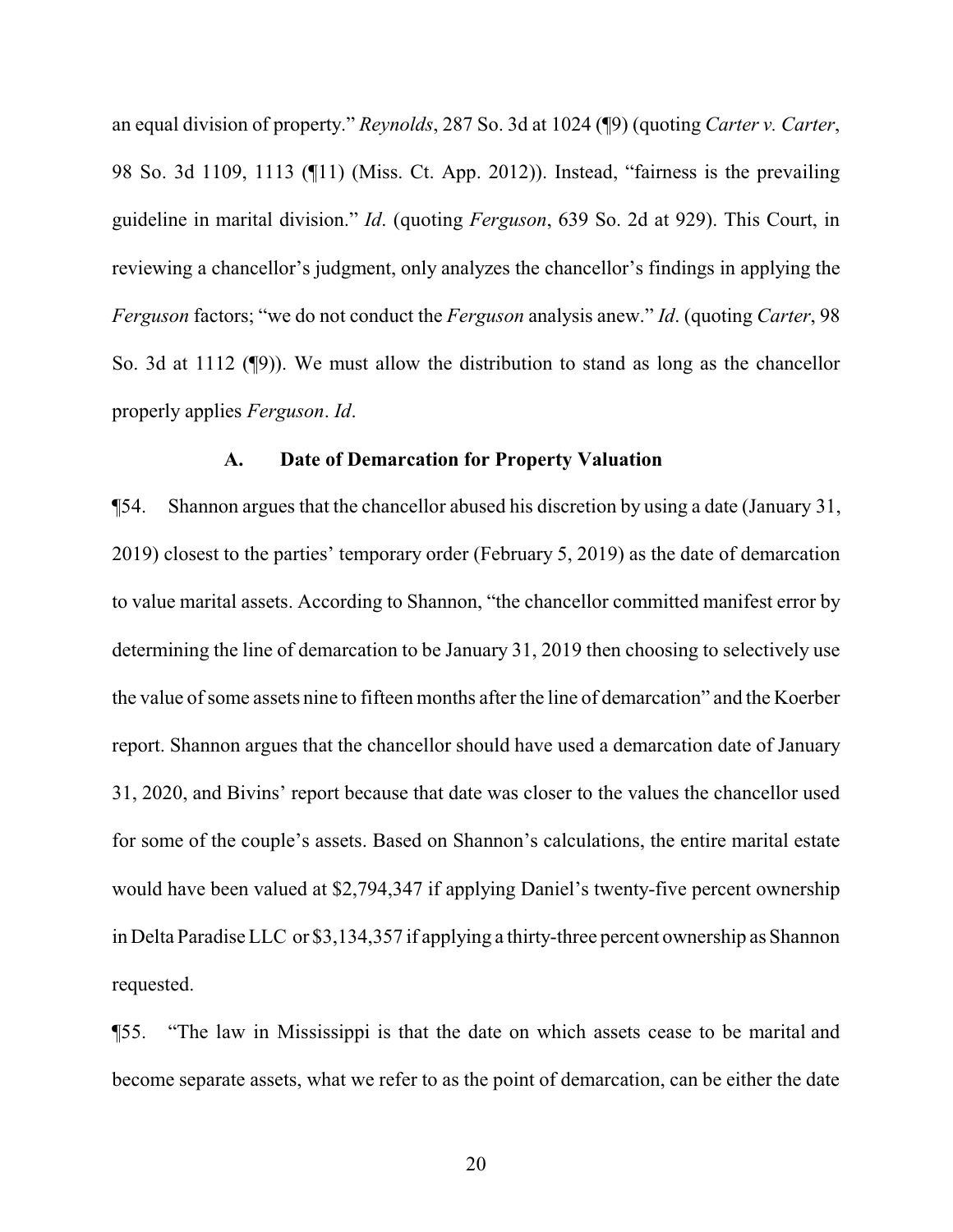an equal division of property." *Reynolds*, 287 So. 3d at 1024 (¶9) (quoting *Carter v. Carter*, 98 So. 3d 1109, 1113 (¶11) (Miss. Ct. App. 2012)). Instead, "fairness is the prevailing guideline in marital division." *Id*. (quoting *Ferguson*, 639 So. 2d at 929). This Court, in reviewing a chancellor's judgment, only analyzes the chancellor's findings in applying the *Ferguson* factors; "we do not conduct the *Ferguson* analysis anew." *Id*. (quoting *Carter*, 98 So. 3d at 1112 (¶9)). We must allow the distribution to stand as long as the chancellor properly applies *Ferguson*. *Id*.

#### **A. Date of Demarcation for Property Valuation**

¶54. Shannon argues that the chancellor abused his discretion by using a date (January 31, 2019) closest to the parties' temporary order (February 5, 2019) as the date of demarcation to value marital assets. According to Shannon, "the chancellor committed manifest error by determining the line of demarcation to be January 31, 2019 then choosing to selectively use the value of some assets nine to fifteen months after the line of demarcation" and the Koerber report. Shannon argues that the chancellor should have used a demarcation date of January 31, 2020, and Bivins' report because that date was closer to the values the chancellor used for some of the couple's assets. Based on Shannon's calculations, the entire marital estate would have been valued at \$2,794,347 if applying Daniel's twenty-five percent ownership in Delta Paradise LLC or \$3,134,357 if applying a thirty-three percent ownership as Shannon requested.

¶55. "The law in Mississippi is that the date on which assets cease to be marital and become separate assets, what we refer to as the point of demarcation, can be either the date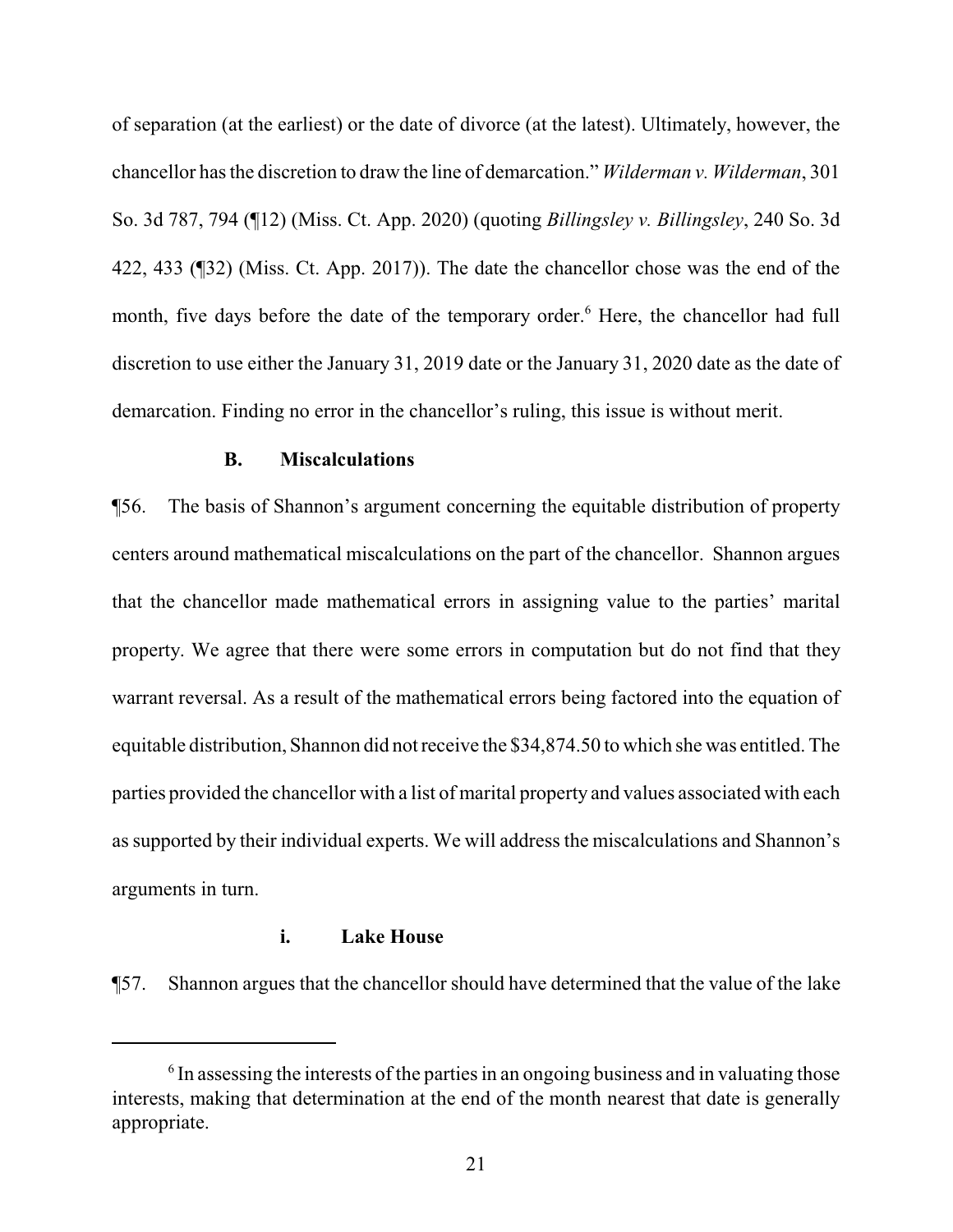of separation (at the earliest) or the date of divorce (at the latest). Ultimately, however, the chancellor has the discretion to draw the line of demarcation." *Wilderman v. Wilderman*, 301 So. 3d 787, 794 (¶12) (Miss. Ct. App. 2020) (quoting *Billingsley v. Billingsley*, 240 So. 3d 422, 433 (¶32) (Miss. Ct. App. 2017)). The date the chancellor chose was the end of the month, five days before the date of the temporary order.<sup>6</sup> Here, the chancellor had full discretion to use either the January 31, 2019 date or the January 31, 2020 date as the date of demarcation. Finding no error in the chancellor's ruling, this issue is without merit.

#### **B. Miscalculations**

¶56. The basis of Shannon's argument concerning the equitable distribution of property centers around mathematical miscalculations on the part of the chancellor. Shannon argues that the chancellor made mathematical errors in assigning value to the parties' marital property. We agree that there were some errors in computation but do not find that they warrant reversal. As a result of the mathematical errors being factored into the equation of equitable distribution, Shannon did not receive the \$34,874.50 to which she was entitled. The parties provided the chancellor with a list of marital property and values associated with each as supported by their individual experts. We will address the miscalculations and Shannon's arguments in turn.

# **i. Lake House**

¶57. Shannon argues that the chancellor should have determined that the value of the lake

<sup>&</sup>lt;sup>6</sup> In assessing the interests of the parties in an ongoing business and in valuating those interests, making that determination at the end of the month nearest that date is generally appropriate.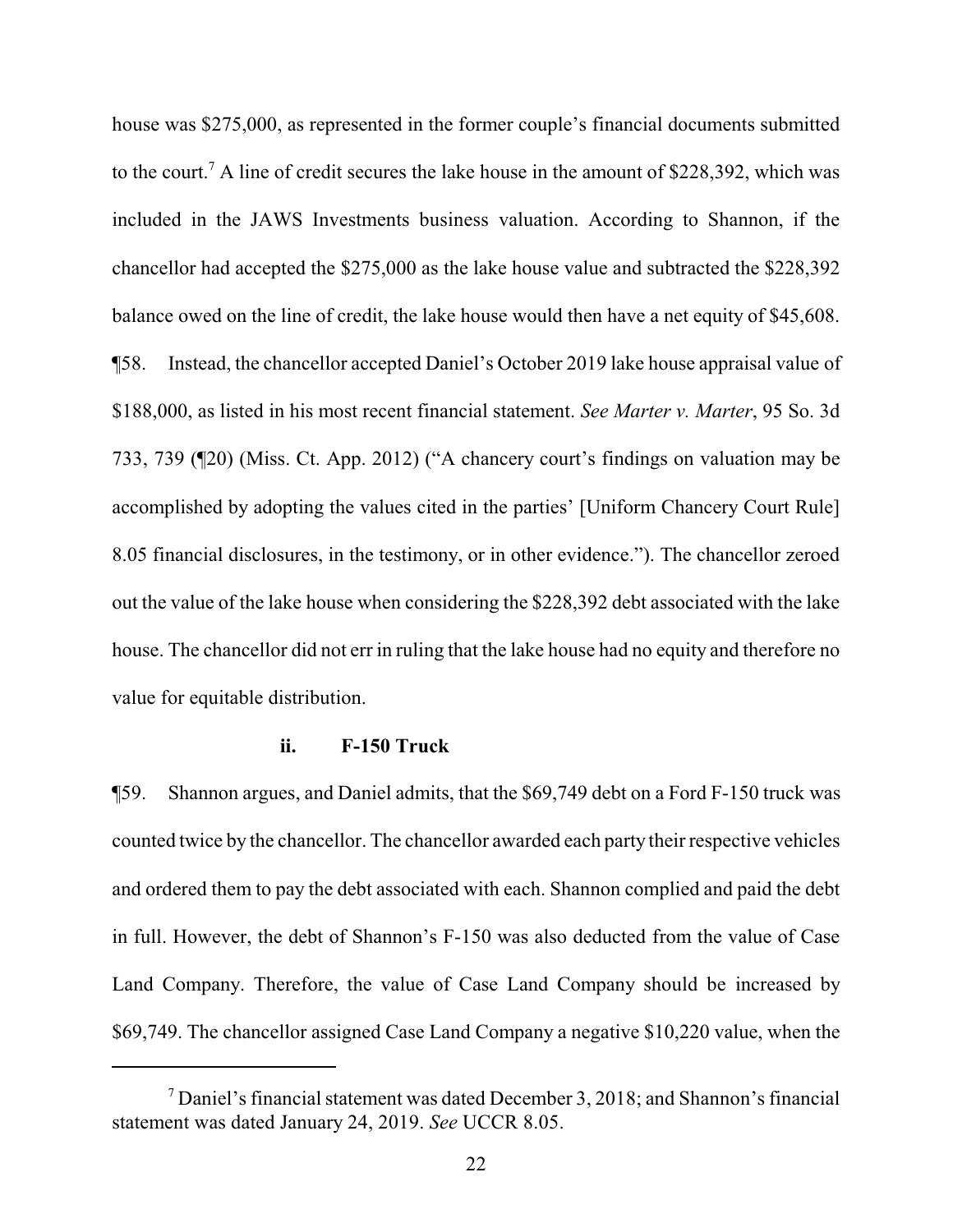house was \$275,000, as represented in the former couple's financial documents submitted to the court.<sup>7</sup> A line of credit secures the lake house in the amount of \$228,392, which was included in the JAWS Investments business valuation. According to Shannon, if the chancellor had accepted the \$275,000 as the lake house value and subtracted the \$228,392 balance owed on the line of credit, the lake house would then have a net equity of \$45,608. ¶58. Instead, the chancellor accepted Daniel's October 2019 lake house appraisal value of \$188,000, as listed in his most recent financial statement. *See Marter v. Marter*, 95 So. 3d 733, 739 (¶20) (Miss. Ct. App. 2012) ("A chancery court's findings on valuation may be accomplished by adopting the values cited in the parties' [Uniform Chancery Court Rule] 8.05 financial disclosures, in the testimony, or in other evidence."). The chancellor zeroed out the value of the lake house when considering the \$228,392 debt associated with the lake house. The chancellor did not err in ruling that the lake house had no equity and therefore no value for equitable distribution.

#### **ii. F-150 Truck**

¶59. Shannon argues, and Daniel admits, that the \$69,749 debt on a Ford F-150 truck was counted twice by the chancellor. The chancellor awarded each party their respective vehicles and ordered them to pay the debt associated with each. Shannon complied and paid the debt in full. However, the debt of Shannon's F-150 was also deducted from the value of Case Land Company. Therefore, the value of Case Land Company should be increased by \$69,749. The chancellor assigned Case Land Company a negative \$10,220 value, when the

<sup>7</sup> Daniel's financial statement was dated December 3, 2018; and Shannon's financial statement was dated January 24, 2019. *See* UCCR 8.05.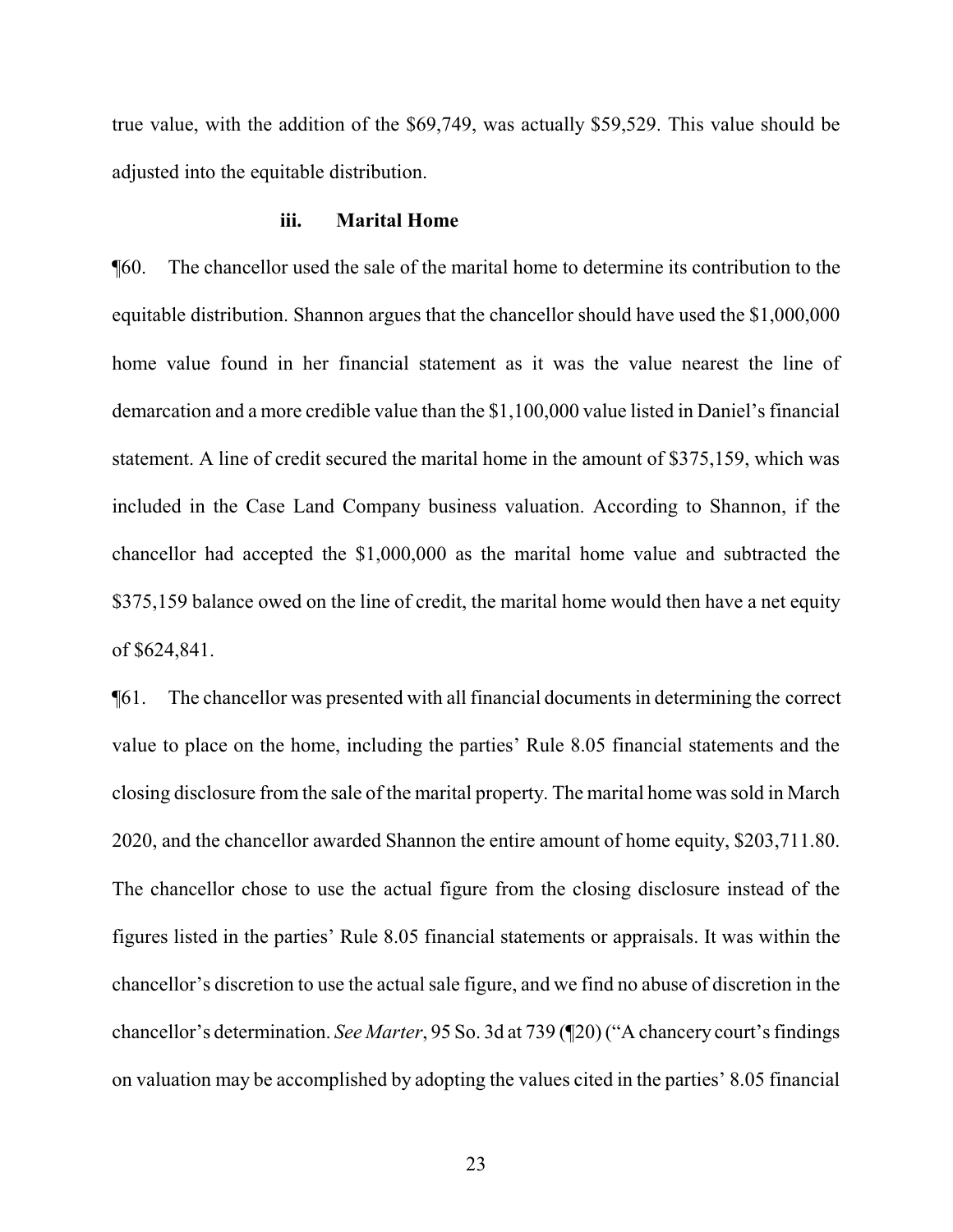true value, with the addition of the \$69,749, was actually \$59,529. This value should be adjusted into the equitable distribution.

#### **iii. Marital Home**

¶60. The chancellor used the sale of the marital home to determine its contribution to the equitable distribution. Shannon argues that the chancellor should have used the \$1,000,000 home value found in her financial statement as it was the value nearest the line of demarcation and a more credible value than the \$1,100,000 value listed in Daniel's financial statement. A line of credit secured the marital home in the amount of \$375,159, which was included in the Case Land Company business valuation. According to Shannon, if the chancellor had accepted the \$1,000,000 as the marital home value and subtracted the \$375,159 balance owed on the line of credit, the marital home would then have a net equity of \$624,841.

¶61. The chancellor was presented with all financial documents in determining the correct value to place on the home, including the parties' Rule 8.05 financial statements and the closing disclosure from the sale of the marital property. The marital home was sold in March 2020, and the chancellor awarded Shannon the entire amount of home equity, \$203,711.80. The chancellor chose to use the actual figure from the closing disclosure instead of the figures listed in the parties' Rule 8.05 financial statements or appraisals. It was within the chancellor's discretion to use the actual sale figure, and we find no abuse of discretion in the chancellor's determination. *See Marter*, 95 So. 3d at 739 (¶20) ("A chancery court's findings on valuation may be accomplished by adopting the values cited in the parties' 8.05 financial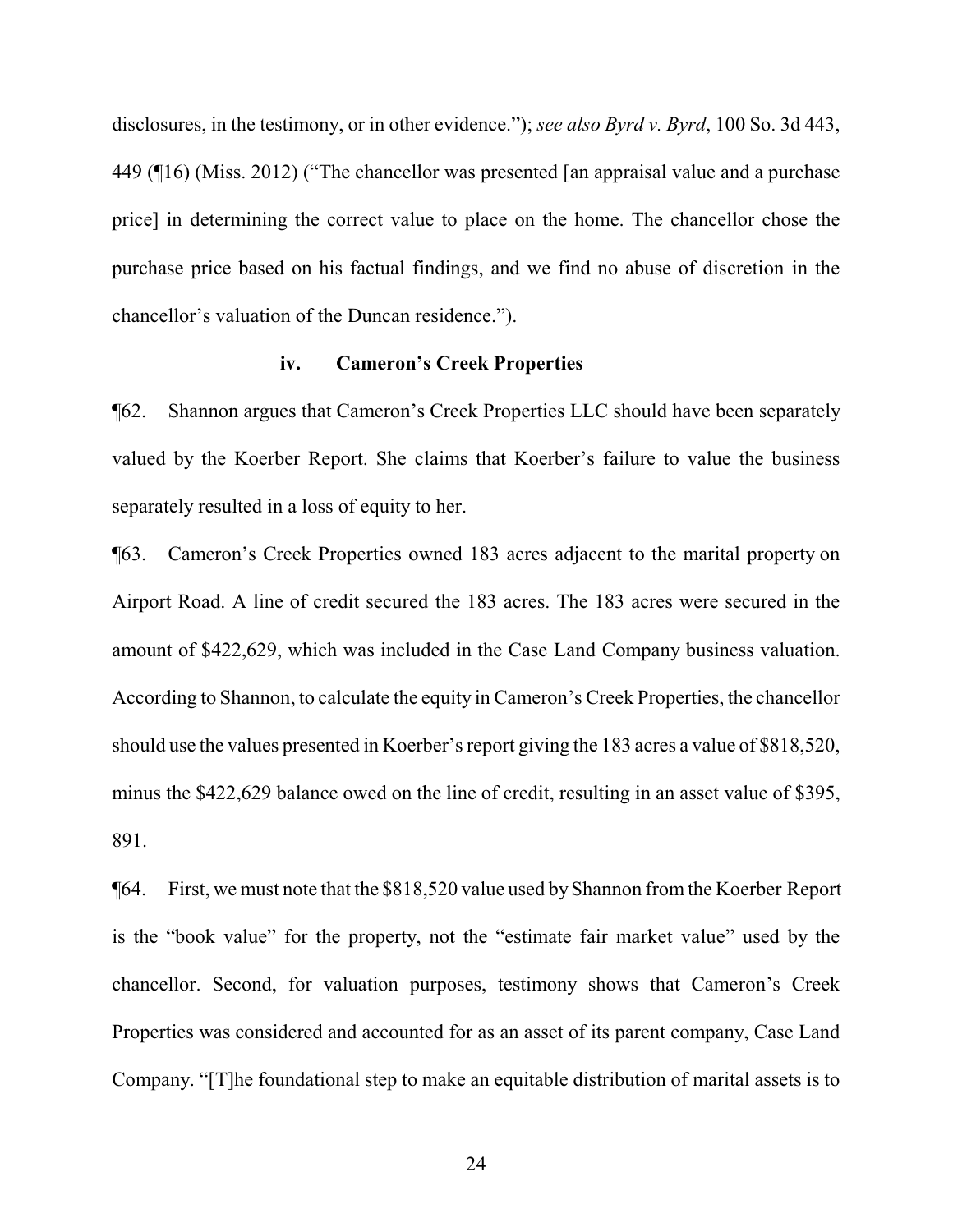disclosures, in the testimony, or in other evidence."); *see also Byrd v. Byrd*, 100 So. 3d 443, 449 (¶16) (Miss. 2012) ("The chancellor was presented [an appraisal value and a purchase price] in determining the correct value to place on the home. The chancellor chose the purchase price based on his factual findings, and we find no abuse of discretion in the chancellor's valuation of the Duncan residence.").

#### **iv. Cameron's Creek Properties**

¶62. Shannon argues that Cameron's Creek Properties LLC should have been separately valued by the Koerber Report. She claims that Koerber's failure to value the business separately resulted in a loss of equity to her.

¶63. Cameron's Creek Properties owned 183 acres adjacent to the marital property on Airport Road. A line of credit secured the 183 acres. The 183 acres were secured in the amount of \$422,629, which was included in the Case Land Company business valuation. According to Shannon, to calculate the equity in Cameron's Creek Properties, the chancellor should use the values presented in Koerber's report giving the 183 acres a value of \$818,520, minus the \$422,629 balance owed on the line of credit, resulting in an asset value of \$395, 891.

¶64. First, we must note that the \$818,520 value used byShannon from the Koerber Report is the "book value" for the property, not the "estimate fair market value" used by the chancellor. Second, for valuation purposes, testimony shows that Cameron's Creek Properties was considered and accounted for as an asset of its parent company, Case Land Company. "[T]he foundational step to make an equitable distribution of marital assets is to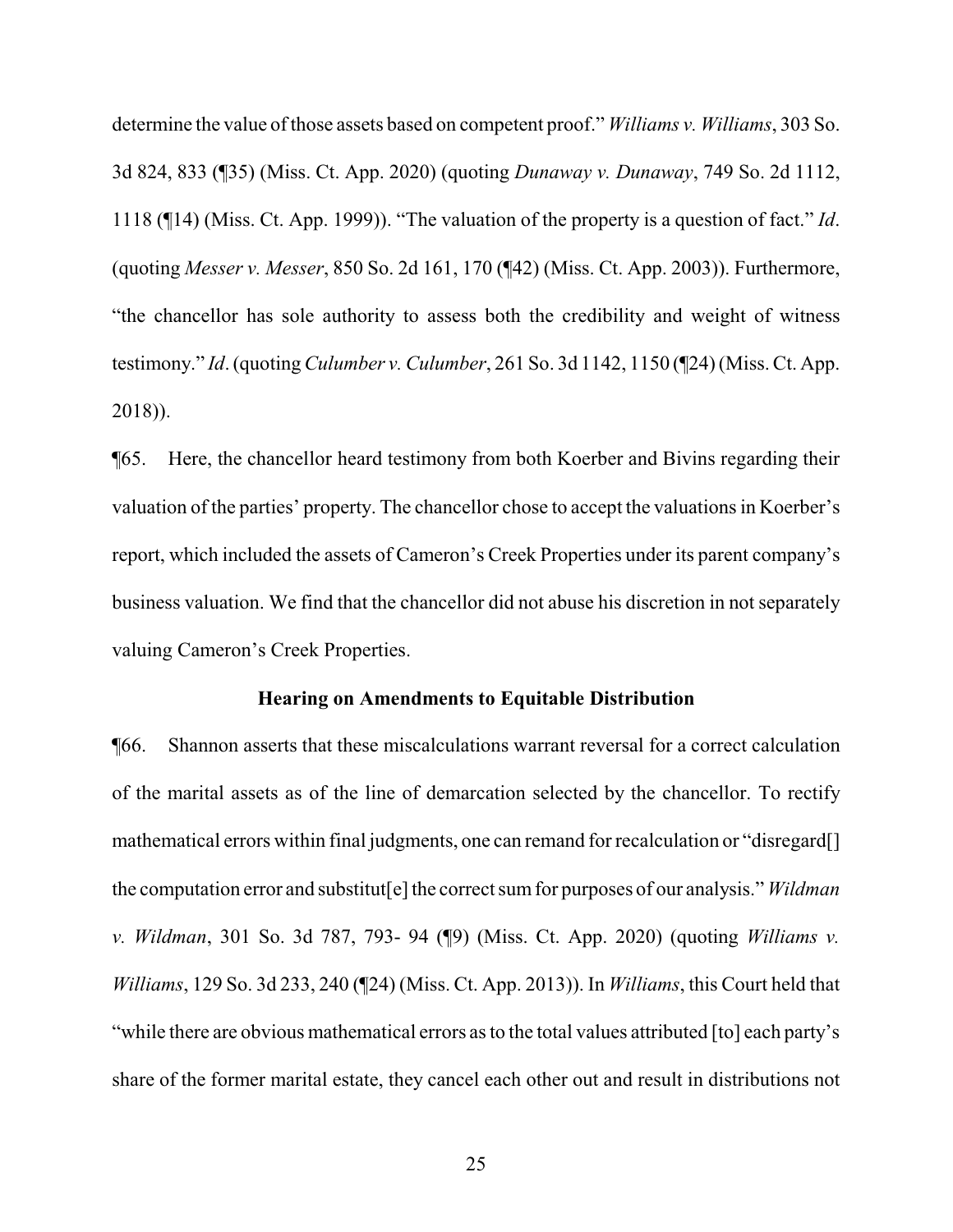determine the value of those assets based on competent proof." *Williams v. Williams*, 303 So. 3d 824, 833 (¶35) (Miss. Ct. App. 2020) (quoting *Dunaway v. Dunaway*, 749 So. 2d 1112, 1118 (¶14) (Miss. Ct. App. 1999)). "The valuation of the property is a question of fact." *Id*. (quoting *Messer v. Messer*, 850 So. 2d 161, 170 (¶42) (Miss. Ct. App. 2003)). Furthermore, "the chancellor has sole authority to assess both the credibility and weight of witness testimony." *Id*. (quoting *Culumber v. Culumber*, 261 So. 3d 1142, 1150 (¶24) (Miss. Ct. App. 2018)).

¶65. Here, the chancellor heard testimony from both Koerber and Bivins regarding their valuation of the parties' property. The chancellor chose to accept the valuations in Koerber's report, which included the assets of Cameron's Creek Properties under its parent company's business valuation. We find that the chancellor did not abuse his discretion in not separately valuing Cameron's Creek Properties.

#### **Hearing on Amendments to Equitable Distribution**

¶66. Shannon asserts that these miscalculations warrant reversal for a correct calculation of the marital assets as of the line of demarcation selected by the chancellor. To rectify mathematical errors within final judgments, one can remand for recalculation or "disregard[] the computation error and substitut[e] the correct sumfor purposes of our analysis." *Wildman v. Wildman*, 301 So. 3d 787, 793- 94 (¶9) (Miss. Ct. App. 2020) (quoting *Williams v. Williams*, 129 So. 3d 233, 240 (¶24) (Miss. Ct. App. 2013)). In *Williams*, this Court held that "while there are obvious mathematical errors as to the total values attributed [to] each party's share of the former marital estate, they cancel each other out and result in distributions not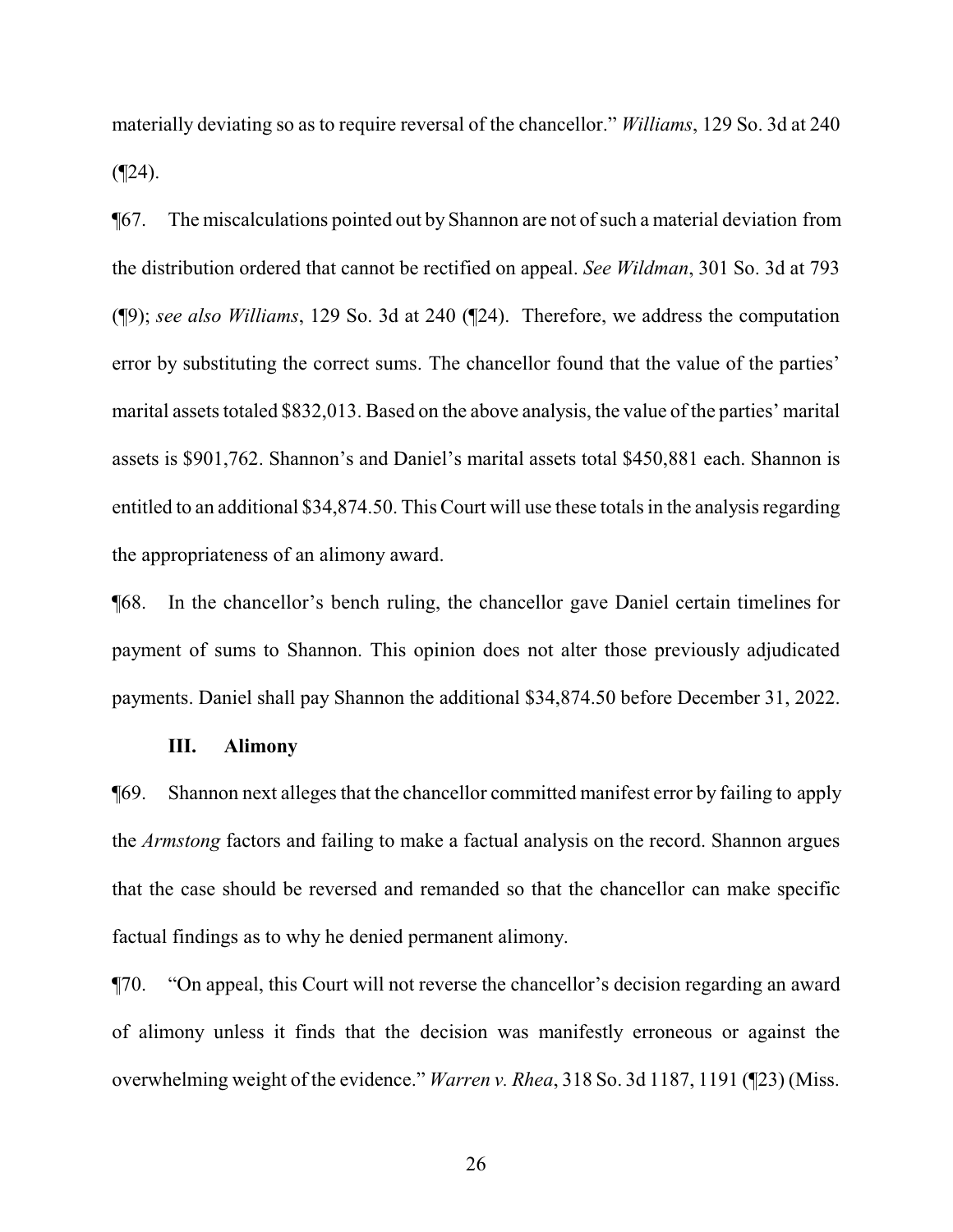materially deviating so as to require reversal of the chancellor." *Williams*, 129 So. 3d at 240  $($ 

¶67. The miscalculations pointed out by Shannon are not ofsuch a material deviation from the distribution ordered that cannot be rectified on appeal. *See Wildman*, 301 So. 3d at 793 (¶9); *see also Williams*, 129 So. 3d at 240 (¶24). Therefore, we address the computation error by substituting the correct sums. The chancellor found that the value of the parties' marital assets totaled \$832,013. Based on the above analysis, the value of the parties' marital assets is \$901,762. Shannon's and Daniel's marital assets total \$450,881 each. Shannon is entitled to an additional \$34,874.50. This Court will use these totals in the analysis regarding the appropriateness of an alimony award.

¶68. In the chancellor's bench ruling, the chancellor gave Daniel certain timelines for payment of sums to Shannon. This opinion does not alter those previously adjudicated payments. Daniel shall pay Shannon the additional \$34,874.50 before December 31, 2022.

#### **III. Alimony**

¶69. Shannon next alleges that the chancellor committed manifest error by failing to apply the *Armstong* factors and failing to make a factual analysis on the record. Shannon argues that the case should be reversed and remanded so that the chancellor can make specific factual findings as to why he denied permanent alimony.

¶70. "On appeal, this Court will not reverse the chancellor's decision regarding an award of alimony unless it finds that the decision was manifestly erroneous or against the overwhelming weight of the evidence." *Warren v. Rhea*, 318 So. 3d 1187, 1191 (¶23) (Miss.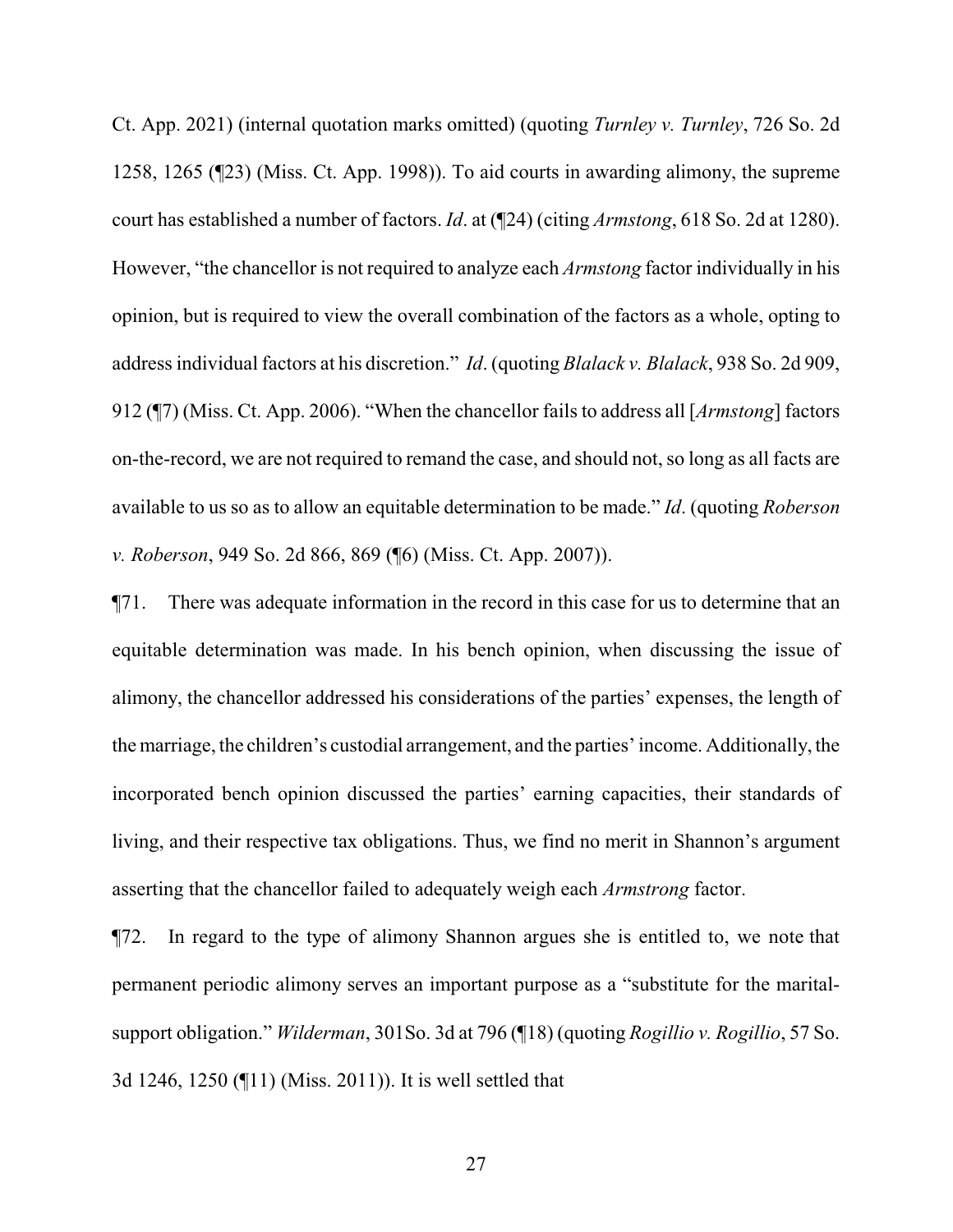Ct. App. 2021) (internal quotation marks omitted) (quoting *Turnley v. Turnley*, 726 So. 2d 1258, 1265 (¶23) (Miss. Ct. App. 1998)). To aid courts in awarding alimony, the supreme court has established a number of factors. *Id*. at (¶24) (citing *Armstong*, 618 So. 2d at 1280). However, "the chancellor is not required to analyze each *Armstong* factor individually in his opinion, but is required to view the overall combination of the factors as a whole, opting to address individual factors at his discretion." *Id*. (quoting *Blalack v. Blalack*, 938 So. 2d 909, 912 (¶7) (Miss. Ct. App. 2006). "When the chancellor fails to address all [*Armstong*] factors on-the-record, we are not required to remand the case, and should not, so long as all facts are available to us so as to allow an equitable determination to be made." *Id*. (quoting *Roberson v. Roberson*, 949 So. 2d 866, 869 (¶6) (Miss. Ct. App. 2007)).

¶71. There was adequate information in the record in this case for us to determine that an equitable determination was made. In his bench opinion, when discussing the issue of alimony, the chancellor addressed his considerations of the parties' expenses, the length of the marriage, the children's custodial arrangement, and the parties' income. Additionally, the incorporated bench opinion discussed the parties' earning capacities, their standards of living, and their respective tax obligations. Thus, we find no merit in Shannon's argument asserting that the chancellor failed to adequately weigh each *Armstrong* factor.

¶72. In regard to the type of alimony Shannon argues she is entitled to, we note that permanent periodic alimony serves an important purpose as a "substitute for the maritalsupport obligation." *Wilderman*, 301So. 3d at 796 (¶18) (quoting *Rogillio v. Rogillio*, 57 So. 3d 1246, 1250 (¶11) (Miss. 2011)). It is well settled that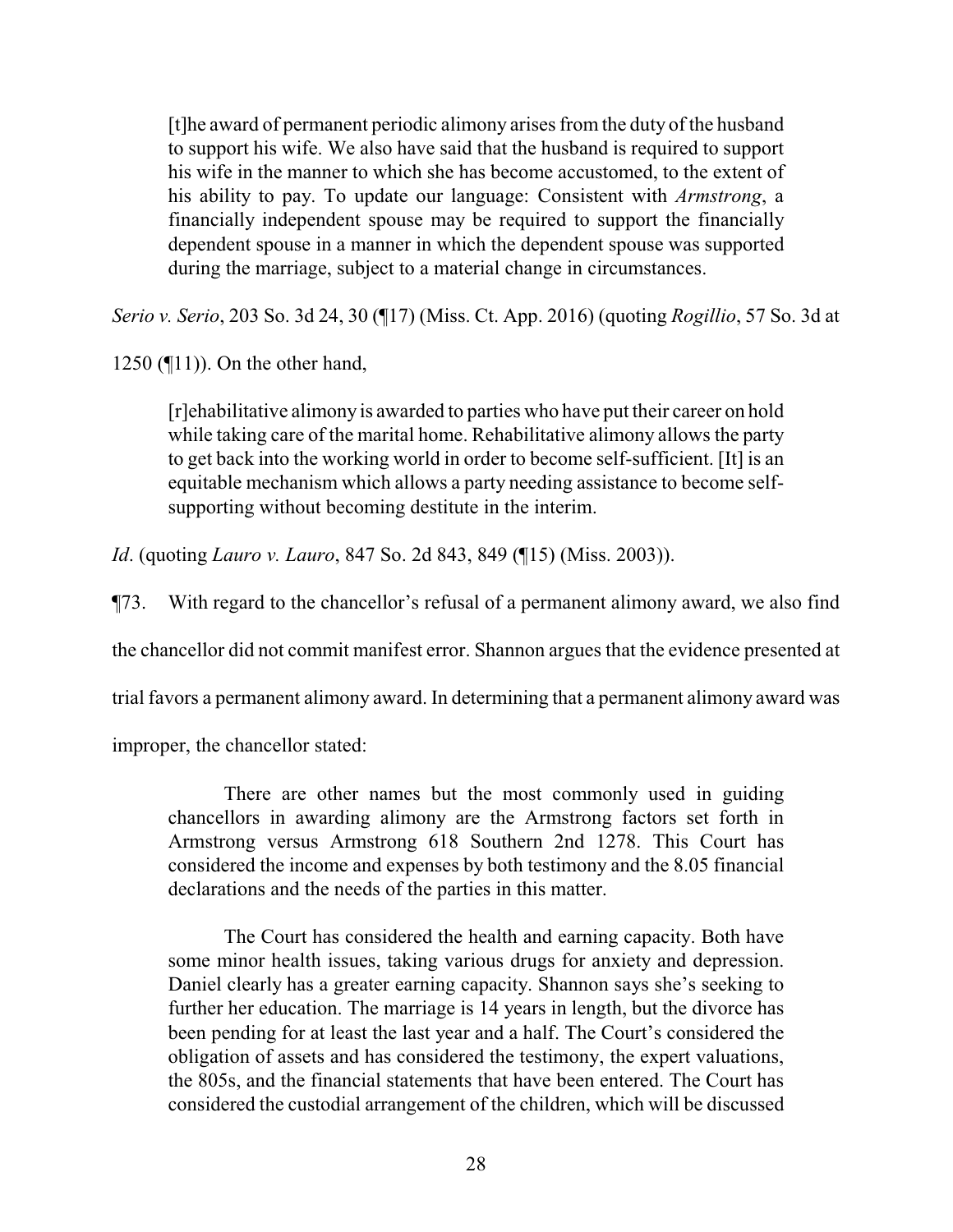[t]he award of permanent periodic alimony arises from the duty of the husband to support his wife. We also have said that the husband is required to support his wife in the manner to which she has become accustomed, to the extent of his ability to pay. To update our language: Consistent with *Armstrong*, a financially independent spouse may be required to support the financially dependent spouse in a manner in which the dependent spouse was supported during the marriage, subject to a material change in circumstances.

*Serio v. Serio*, 203 So. 3d 24, 30 (¶17) (Miss. Ct. App. 2016) (quoting *Rogillio*, 57 So. 3d at

1250 (¶11)). On the other hand,

[r]ehabilitative alimony is awarded to parties who have put their career on hold while taking care of the marital home. Rehabilitative alimony allows the party to get back into the working world in order to become self-sufficient. [It] is an equitable mechanism which allows a party needing assistance to become selfsupporting without becoming destitute in the interim.

*Id*. (quoting *Lauro v. Lauro*, 847 So. 2d 843, 849 (¶15) (Miss. 2003)).

¶73. With regard to the chancellor's refusal of a permanent alimony award, we also find

the chancellor did not commit manifest error. Shannon argues that the evidence presented at

trial favors a permanent alimony award. In determining that a permanent alimony award was

improper, the chancellor stated:

There are other names but the most commonly used in guiding chancellors in awarding alimony are the Armstrong factors set forth in Armstrong versus Armstrong 618 Southern 2nd 1278. This Court has considered the income and expenses by both testimony and the 8.05 financial declarations and the needs of the parties in this matter.

The Court has considered the health and earning capacity. Both have some minor health issues, taking various drugs for anxiety and depression. Daniel clearly has a greater earning capacity. Shannon says she's seeking to further her education. The marriage is 14 years in length, but the divorce has been pending for at least the last year and a half. The Court's considered the obligation of assets and has considered the testimony, the expert valuations, the 805s, and the financial statements that have been entered. The Court has considered the custodial arrangement of the children, which will be discussed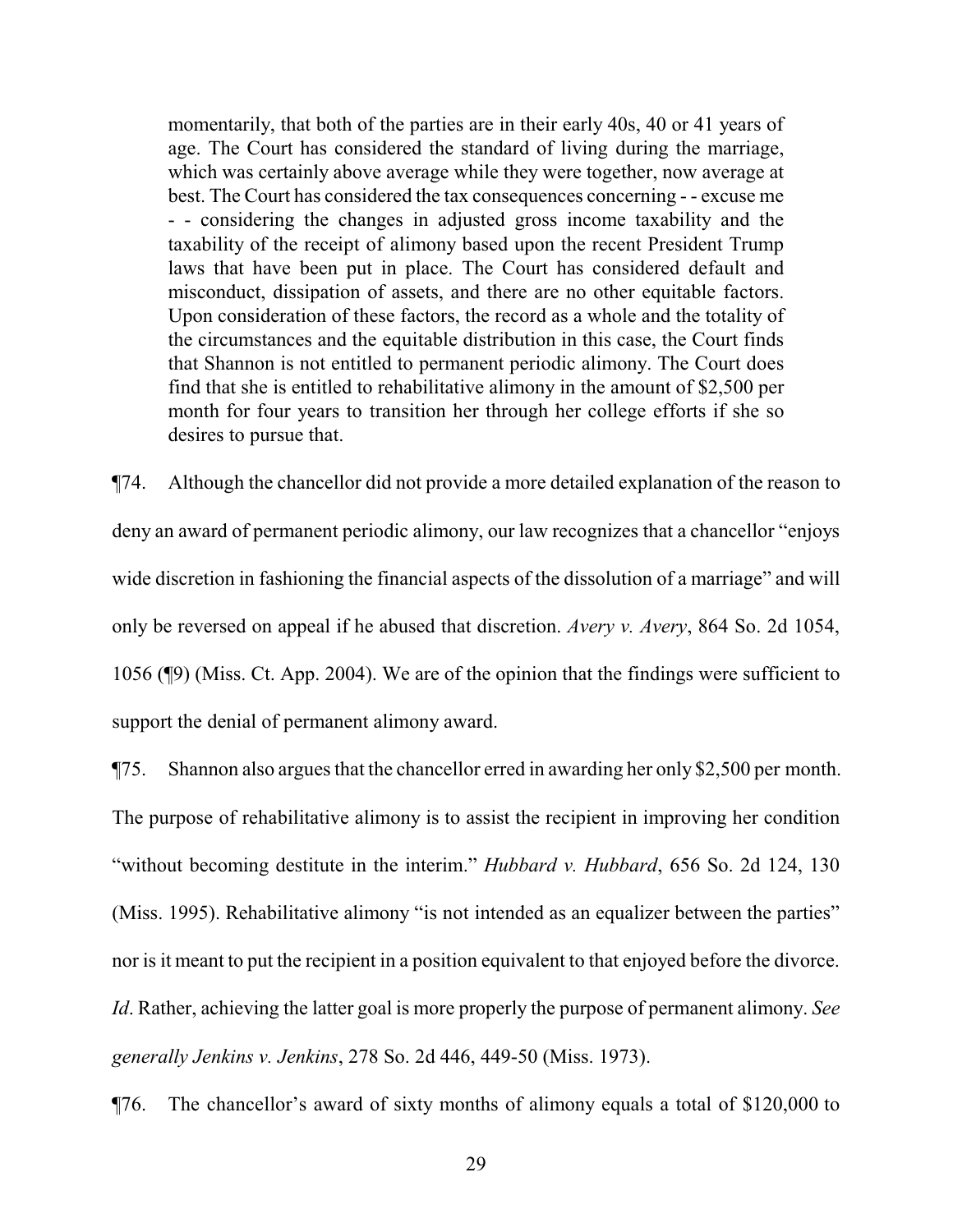momentarily, that both of the parties are in their early 40s, 40 or 41 years of age. The Court has considered the standard of living during the marriage, which was certainly above average while they were together, now average at best. The Court has considered the tax consequences concerning - - excuse me - - considering the changes in adjusted gross income taxability and the taxability of the receipt of alimony based upon the recent President Trump laws that have been put in place. The Court has considered default and misconduct, dissipation of assets, and there are no other equitable factors. Upon consideration of these factors, the record as a whole and the totality of the circumstances and the equitable distribution in this case, the Court finds that Shannon is not entitled to permanent periodic alimony. The Court does find that she is entitled to rehabilitative alimony in the amount of \$2,500 per month for four years to transition her through her college efforts if she so desires to pursue that.

¶74. Although the chancellor did not provide a more detailed explanation of the reason to deny an award of permanent periodic alimony, our law recognizes that a chancellor "enjoys wide discretion in fashioning the financial aspects of the dissolution of a marriage" and will only be reversed on appeal if he abused that discretion. *Avery v. Avery*, 864 So. 2d 1054, 1056 (¶9) (Miss. Ct. App. 2004). We are of the opinion that the findings were sufficient to support the denial of permanent alimony award.

¶75. Shannon also argues that the chancellor erred in awarding her only \$2,500 per month. The purpose of rehabilitative alimony is to assist the recipient in improving her condition "without becoming destitute in the interim." *Hubbard v. Hubbard*, 656 So. 2d 124, 130 (Miss. 1995). Rehabilitative alimony "is not intended as an equalizer between the parties" nor is it meant to put the recipient in a position equivalent to that enjoyed before the divorce. *Id*. Rather, achieving the latter goal is more properly the purpose of permanent alimony. *See generally Jenkins v. Jenkins*, 278 So. 2d 446, 449-50 (Miss. 1973).

¶76. The chancellor's award of sixty months of alimony equals a total of \$120,000 to